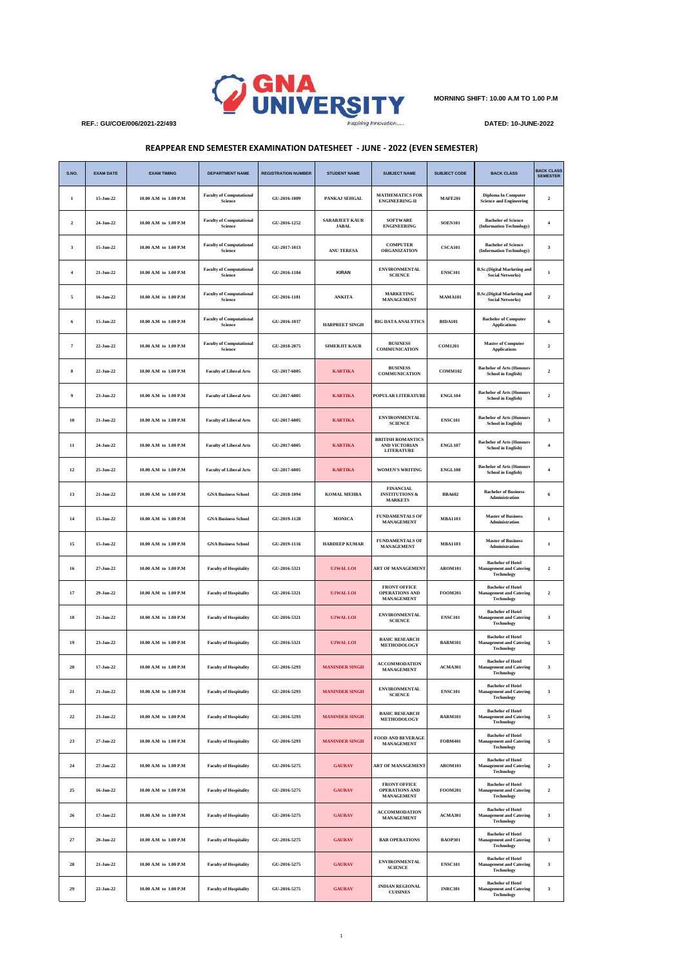

**MORNING SHIFT: 10.00 A.M TO 1.00 P.M**

## **REAPPEAR END SEMESTER EXAMINATION DATESHEET - JUNE - 2022 (EVEN SEMESTER)**

| S.NO.          | <b>EXAM DATE</b> | <b>EXAM TIMING</b>    | <b>DEPARTMENT NAME</b>                     | <b>REGISTRATION NUMBER</b> | <b>STUDENT NAME</b>                   | <b>SUBJECT NAME</b>                                             | <b>SUBJECT CODE</b> | <b>BACK CLASS</b>                                                               | <b>BACK CLASS</b><br><b>SEMESTER</b> |
|----------------|------------------|-----------------------|--------------------------------------------|----------------------------|---------------------------------------|-----------------------------------------------------------------|---------------------|---------------------------------------------------------------------------------|--------------------------------------|
| 1              | 15-Jun-22        | 10.00 A.M to 1.00 P.M | <b>Faculty of Computational</b><br>Science | GU-2016-1009               | PANKAJ SEHGAL                         | <b>MATHEMATICS FOR</b><br><b>ENGINEERING-II</b>                 | <b>MAFE201</b>      | <b>Diploma In Computer</b><br><b>Science and Engineering</b>                    | $\overline{\mathbf{c}}$              |
| $\mathbf 2$    | 24-Jun-22        | 10.00 A.M to 1.00 P.M | <b>Faculty of Computational</b><br>Science | GU-2016-1252               | <b>SARABJEET KAUR</b><br><b>JABAL</b> | <b>SOFTWARE</b><br><b>ENGINEERING</b>                           | <b>SOEN101</b>      | <b>Bachelor</b> of Science<br>(Information Technology)                          | $\boldsymbol{4}$                     |
| $\mathbf{3}$   | 15-Jun-22        | 10.00 A.M to 1.00 P.M | <b>Faculty of Computational</b><br>Science | GU-2017-1013               | ANU TERESA                            | <b>COMPUTER</b><br>ORGANIZATION                                 | <b>CSCA101</b>      | <b>Bachelor of Science</b><br>(Information Technology)                          | $\mathbf{3}$                         |
| $\overline{4}$ | 21-Jun-22        | 10.00 A.M to 1.00 P.M | <b>Faculty of Computational</b><br>Science | GU-2016-1184               | <b>KIRAN</b>                          | <b>ENVIRONMENTAL</b><br><b>SCIENCE</b>                          | <b>ENSC101</b>      | <b>B.Sc.</b> (Digital Marketing and<br><b>Social Networks)</b>                  | $\mathbf 1$                          |
| 5              | 16-Jun-22        | 10.00 A.M to 1.00 P.M | <b>Faculty of Computational</b><br>Science | GU-2016-1181               | <b>ANKITA</b>                         | <b>MARKETING</b><br>MANAGEMENT                                  | <b>MAMA101</b>      | <b>B.Sc.</b> (Digital Marketing and<br><b>Social Networks)</b>                  | $\mathbf 2$                          |
| 6              | 15-Jun-22        | 10.00 A.M to 1.00 P.M | <b>Faculty of Computational</b><br>Science | GU-2016-1037               | <b>HARPREET SINGH</b>                 | <b>BIG DATA ANALYTICS</b>                                       | <b>BIDA101</b>      | <b>Bachelor of Computer</b><br><b>Applications</b>                              | 6                                    |
| $\overline{7}$ | 22-Jun-22        | 10.00 A.M to 1.00 P.M | <b>Faculty of Computational</b><br>Science | GU-2018-2075               | <b>SIMERJIT KAUR</b>                  | <b>BUSINESS</b><br><b>COMMUNICATION</b>                         | <b>COM1201</b>      | <b>Master of Computer</b><br><b>Applications</b>                                | $\mathbf 2$                          |
| 8              | 22-Jun-22        | 10.00 A.M to 1.00 P.M | <b>Faculty of Liberal Arts</b>             | GU-2017-6005               | <b>KARTIKA</b>                        | <b>BUSINESS</b><br><b>COMMUNICATION</b>                         | <b>COMM102</b>      | <b>Bachelor of Arts (Honours</b><br><b>School in English)</b>                   | $\mathbf 2$                          |
| $\overline{9}$ | 23-Jun-22        | 10.00 A.M to 1.00 P.M | <b>Faculty of Liberal Arts</b>             | GU-2017-6005               | <b>KARTIKA</b>                        | POPULAR LITERATURE                                              | <b>ENGL104</b>      | <b>Bachelor of Arts (Honours</b><br><b>School in English)</b>                   | $\mathbf 2$                          |
| 10             | 21-Jun-22        | 10.00 A.M to 1.00 P.M | <b>Faculty of Liberal Arts</b>             | GU-2017-6005               | <b>KARTIKA</b>                        | <b>ENVIRONMENTAL</b><br><b>SCIENCE</b>                          | <b>ENSC101</b>      | <b>Bachelor of Arts (Honours</b><br><b>School in English)</b>                   | $\mathbf 3$                          |
| $11\,$         | 24-Jun-22        | 10.00 A.M to 1.00 P.M | <b>Faculty of Liberal Arts</b>             | GU-2017-6005               | <b>KARTIKA</b>                        | <b>BRITISH ROMANTICS</b><br>AND VICTORIAN<br><b>LITERATURE</b>  | <b>ENGL107</b>      | <b>Bachelor of Arts (Honours</b><br><b>School in English)</b>                   | $\boldsymbol{4}$                     |
| $12\,$         | 25-Jun-22        | 10.00 A.M to 1.00 P.M | <b>Faculty of Liberal Arts</b>             | GU-2017-6005               | <b>KARTIKA</b>                        | WOMEN'S WRITING                                                 | <b>ENGL108</b>      | <b>Bachelor of Arts (Honours</b><br><b>School in English)</b>                   | $\boldsymbol{4}$                     |
| 13             | 21-Jun-22        | 10.00 A.M to 1.00 P.M | <b>GNA Business School</b>                 | GU-2018-1094               | <b>KOMAL MEHRA</b>                    | <b>FINANCIAL</b><br><b>INSTITUTIONS &amp;</b><br><b>MARKETS</b> | <b>BBA602</b>       | <b>Bachelor of Business</b><br>Administration                                   | 6                                    |
| 14             | 15-Jun-22        | 10.00 A.M to 1.00 P.M | <b>GNA Business School</b>                 | GU-2019-1128               | <b>MONICA</b>                         | <b>FUNDAMENTALS OF</b><br>MANAGEMENT                            | <b>MBA1103</b>      | <b>Master of Business</b><br>Administration                                     | $\bf{l}$                             |
| $15\,$         | 15-Jun-22        | 10.00 A.M to 1.00 P.M | <b>GNA Business School</b>                 | GU-2019-1116               | <b>HARDEEP KUMAR</b>                  | <b>FUNDAMENTALS OF</b><br>MANAGEMENT                            | <b>MBA1103</b>      | <b>Master of Business</b><br>Administration                                     | $\mathbf 1$                          |
| 16             | 27-Jun-22        | 10.00 A.M to 1.00 P.M | <b>Faculty of Hospitality</b>              | GU-2016-5321               | <b>UJWAL LOI</b>                      | <b>ART OF MANAGEMENT</b>                                        | <b>AROM101</b>      | <b>Bachelor of Hotel</b><br><b>Management and Catering</b><br>Technology        | $\overline{2}$                       |
| $17\,$         | 29-Jun-22        | 10.00 A.M to 1.00 P.M | <b>Faculty of Hospitality</b>              | GU-2016-5321               | <b>UJWAL LOI</b>                      | <b>FRONT OFFICE</b><br>OPERATIONS AND<br>MANAGEMENT             | <b>FOOM201</b>      | <b>Bachelor of Hotel</b><br><b>Management and Catering</b><br><b>Technology</b> | $\mathbf 2$                          |
| ${\bf 18}$     | 21-Jun-22        | 10.00 A.M to 1.00 P.M | <b>Faculty of Hospitality</b>              | GU-2016-5321               | <b>UJWAL LOI</b>                      | <b>ENVIRONMENTAL</b><br><b>SCIENCE</b>                          | <b>ENSC101</b>      | <b>Bachelor of Hotel</b><br><b>Management and Catering</b><br>Technology        | $\mathbf 3$                          |
| 19             | 23-Jun-22        | 10.00 A.M to 1.00 P.M | <b>Faculty of Hospitality</b>              | GU-2016-5321               | <b>UJWAL LOI</b>                      | <b>BASIC RESEARCH</b><br>METHODOLOGY                            | <b>BARM101</b>      | <b>Bachelor of Hotel</b><br><b>Management and Catering</b><br>Technology        | $\mathfrak s$                        |
| 20             | 17-Jun-22        | 10.00 A.M to 1.00 P.M | <b>Faculty of Hospitality</b>              | GU-2016-5293               | <b>MANINDER SINGH</b>                 | <b>ACCOMMODATION</b><br>MANAGEMENT                              | ACMA301             | <b>Bachelor</b> of Hotel<br><b>Management and Catering</b><br><b>Technology</b> | $\mathbf 3$                          |
| $\bf{21}$      | 21-Jun-22        | 10.00 A.M to 1.00 P.M | <b>Faculty of Hospitality</b>              | GU-2016-5293               | <b>MANINDER SINGH</b>                 | <b>ENVIRONMENTAL</b><br><b>SCIENCE</b>                          | <b>ENSC101</b>      | <b>Bachelor of Hotel</b><br><b>Management and Catering</b><br><b>Technology</b> | 3                                    |
| $\bf 22$       | 23-Jun-22        | 10.00 A.M to 1.00 P.M | <b>Faculty of Hospitality</b>              | GU-2016-5293               | <b>MANINDER SINGH</b>                 | <b>BASIC RESEARCH</b><br>METHODOLOGY                            | <b>BARM101</b>      | <b>Bachelor of Hotel</b><br><b>Management and Catering</b><br><b>Technology</b> | $\mathfrak s$                        |
| 23             | 27-Jun-22        | 10.00 A.M to 1.00 P.M | <b>Faculty of Hospitality</b>              | GU-2016-5293               | <b>MANINDER SINGH</b>                 | FOOD AND BEVERAGE<br><b>MANAGEMENT</b>                          | <b>FOBM401</b>      | <b>Bachelor</b> of Hotel<br><b>Management and Catering</b><br><b>Technology</b> | 5                                    |
| $\bf 24$       | 27-Jun-22        | 10.00 A.M to 1.00 P.M | <b>Faculty of Hospitality</b>              | GU-2016-5275               | <b>GAURAV</b>                         | <b>ART OF MANAGEMENT</b>                                        | <b>AROM101</b>      | <b>Bachelor</b> of Hotel<br><b>Management and Catering</b><br><b>Technology</b> | $\mathbf 2$                          |
| 25             | 16-Jun-22        | 10.00 A.M to 1.00 P.M | <b>Faculty of Hospitality</b>              | GU-2016-5275               | <b>GAURAV</b>                         | FRONT OFFICE<br><b>OPERATIONS AND</b><br>MANAGEMENT             | <b>FOOM201</b>      | <b>Bachelor of Hotel</b><br><b>Management and Catering</b><br><b>Technology</b> | $\overline{2}$                       |
| 26             | 17-Jun-22        | 10.00 A.M to 1.00 P.M | <b>Faculty of Hospitality</b>              | GU-2016-5275               | <b>GAURAV</b>                         | <b>ACCOMMODATION</b><br><b>MANAGEMENT</b>                       | ACMA301             | <b>Bachelor of Hotel</b><br><b>Management and Catering</b><br><b>Technology</b> | 3                                    |
| $\bf 27$       | 20-Jun-22        | 10.00 A.M to 1.00 P.M | <b>Faculty of Hospitality</b>              | GU-2016-5275               | <b>GAURAV</b>                         | <b>BAR OPERATIONS</b>                                           | <b>BAOP301</b>      | <b>Bachelor of Hotel</b><br><b>Management and Catering</b><br><b>Technology</b> | $\mathbf{3}$                         |
| ${\bf 28}$     | 21-Jun-22        | 10.00 A.M to 1.00 P.M | <b>Faculty of Hospitality</b>              | GU-2016-5275               | <b>GAURAV</b>                         | <b>ENVIRONMENTAL</b><br><b>SCIENCE</b>                          | <b>ENSC101</b>      | <b>Bachelor of Hotel</b><br><b>Management and Catering</b><br><b>Technology</b> | $\mathbf{3}$                         |
| 29             | 22-Jun-22        | 10.00 A.M to 1.00 P.M | <b>Faculty of Hospitality</b>              | GU-2016-5275               | <b>GAURAV</b>                         | <b>INDIAN REGIONAL</b><br><b>CUISINES</b>                       | <b>INRC301</b>      | <b>Bachelor</b> of Hotel<br><b>Management and Catering</b><br><b>Technology</b> | 3                                    |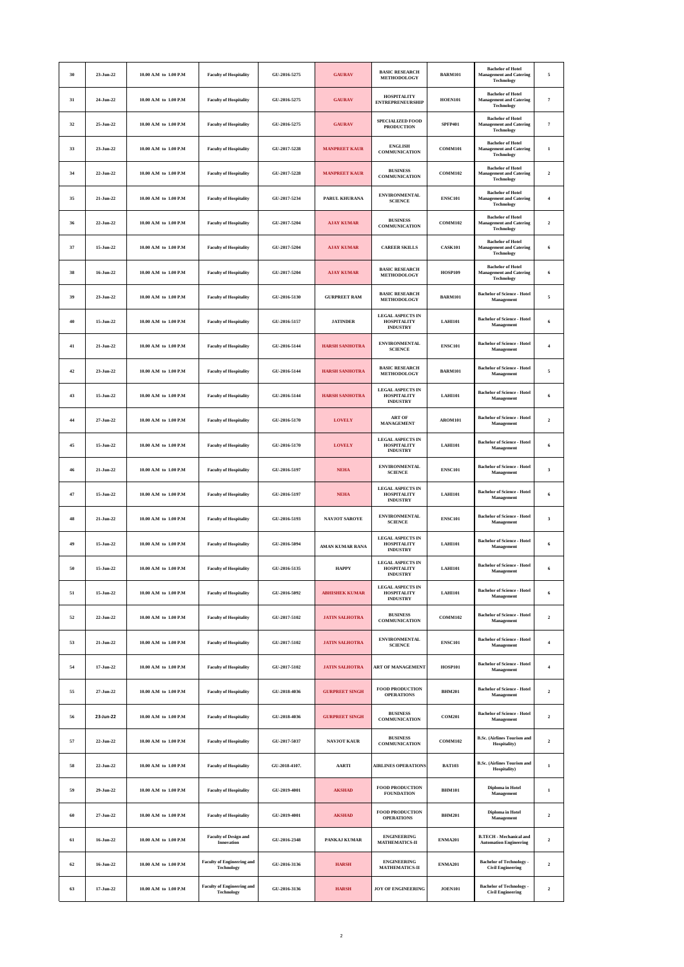| 30 | 23-Jun-22 | 10.00 A.M to 1.00 P.M | <b>Faculty of Hospitality</b>                          | GU-2016-5275  | <b>GAURAV</b>         | <b>BASIC RESEARCH</b><br>METHODOLOGY                             | <b>BARM101</b> | <b>Bachelor</b> of Hotel<br><b>Management and Catering</b><br><b>Technology</b> | 5                   |
|----|-----------|-----------------------|--------------------------------------------------------|---------------|-----------------------|------------------------------------------------------------------|----------------|---------------------------------------------------------------------------------|---------------------|
| 31 | 24-Jun-22 | 10.00 A.M to 1.00 P.M | <b>Faculty of Hospitality</b>                          | GU-2016-5275  | <b>GAURAV</b>         | <b>HOSPITALITY</b><br><b>ENTREPRENEURSHIP</b>                    | <b>HOEN101</b> | <b>Bachelor of Hotel</b><br><b>Management and Catering</b><br>Technology        | $\scriptstyle\rm 7$ |
| 32 | 25-Jun-22 | 10.00 A.M to 1.00 P.M | <b>Faculty of Hospitality</b>                          | GU-2016-5275  | <b>GAURAV</b>         | SPECIALIZED FOOD<br><b>PRODUCTION</b>                            | <b>SPFP401</b> | <b>Bachelor of Hotel</b><br><b>Management and Catering</b><br><b>Technology</b> | $\overline{7}$      |
| 33 | 23-Jun-22 | 10.00 A.M to 1.00 P.M | <b>Faculty of Hospitality</b>                          | GU-2017-5228  | MANPREET KAUR         | <b>ENGLISH</b><br><b>COMMUNICATION</b>                           | COMM101        | <b>Bachelor of Hotel</b><br><b>Management and Catering</b><br><b>Technology</b> | $\bf{1}$            |
| 34 | 22-Jun-22 | 10.00 A.M to 1.00 P.M | <b>Faculty of Hospitality</b>                          | GU-2017-5228  | MANPREET KAUR         | <b>BUSINESS</b><br><b>COMMUNICATION</b>                          | <b>COMM102</b> | <b>Bachelor of Hotel</b><br><b>Management and Catering</b><br>Technology        | $\mathbf 2$         |
| 35 | 21-Jun-22 | 10.00 A.M to 1.00 P.M | <b>Faculty of Hospitality</b>                          | GU-2017-5234  | PARIT. KHURANA        | <b>ENVIRONMENTAL</b><br><b>SCIENCE</b>                           | <b>ENSC101</b> | <b>Bachelor of Hotel</b><br><b>Management and Catering</b><br><b>Technology</b> | $\overline{4}$      |
| 36 | 22-Jun-22 | 10.00 A.M to 1.00 P.M | <b>Faculty of Hospitality</b>                          | GU-2017-5204  | <b>AJAY KUMAR</b>     | <b>BUSINESS</b><br><b>COMMUNICATION</b>                          | <b>COMM102</b> | <b>Bachelor of Hotel</b><br><b>Management and Catering</b><br><b>Technology</b> | $\mathbf 2$         |
| 37 | 15-Jun-22 | 10.00 A.M to 1.00 P.M | <b>Faculty of Hospitality</b>                          | GU-2017-5204  | <b>AJAY KUMAR</b>     | <b>CAREER SKILLS</b>                                             | <b>CASK101</b> | <b>Bachelor of Hotel</b><br><b>Management and Catering</b><br>Technology        | 6                   |
| 38 | 16-Jun-22 | 10.00 A.M to 1.00 P.M | <b>Faculty of Hospitality</b>                          | GU-2017-5204  | <b>AJAY KUMAR</b>     | <b>BASIC RESEARCH</b><br>METHODOLOGY                             | <b>HOSP109</b> | <b>Bachelor of Hotel</b><br><b>Management and Catering</b><br>Technology        | 6                   |
| 39 | 23-Jun-22 | 10.00 A.M to 1.00 P.M | <b>Faculty of Hospitality</b>                          | GU-2016-5130  | <b>GURPREET RAM</b>   | <b>BASIC RESEARCH</b><br><b>METHODOLOGY</b>                      | <b>BARM101</b> | <b>Bachelor of Science - Hotel</b><br>Management                                | 5                   |
| 40 | 15-Jun-22 | 10.00 A.M to 1.00 P.M | <b>Faculty of Hospitality</b>                          | GU-2016-5157  | <b>JATINDER</b>       | <b>LEGAL ASPECTS IN</b><br><b>HOSPITALITY</b><br><b>INDUSTRY</b> | <b>LAHI101</b> | <b>Bachelor of Science - Hotel</b><br>Management                                | 6                   |
| 41 | 21-Jun-22 | 10.00 A.M to 1.00 P.M | <b>Faculty of Hospitality</b>                          | GU-2016-5144  | <b>HARSH SANHOTRA</b> | <b>ENVIRONMENTAL</b><br><b>SCIENCE</b>                           | <b>ENSC101</b> | <b>Bachelor of Science - Hotel</b><br>Management                                | $\overline{4}$      |
| 42 | 23-Jun-22 | 10.00 A.M to 1.00 P.M | <b>Faculty of Hospitality</b>                          | GU-2016-5144  | <b>HARSH SANHOTRA</b> | <b>BASIC RESEARCH</b><br>METHODOLOGY                             | <b>BARM101</b> | <b>Bachelor of Science - Hotel</b><br>Management                                | 5                   |
| 43 | 15-Jun-22 | 10.00 A.M to 1.00 P.M | <b>Faculty of Hospitality</b>                          | GU-2016-5144  | <b>HARSH SANHOTRA</b> | <b>LEGAL ASPECTS IN</b><br><b>HOSPITALITY</b><br><b>INDUSTRY</b> | <b>LAHI101</b> | <b>Bachelor of Science - Hotel</b><br>Management                                | 6                   |
| 44 | 27-Jun-22 | 10.00 A.M to 1.00 P.M | <b>Faculty of Hospitality</b>                          | GU-2016-5170  | <b>LOVELY</b>         | <b>ART OF</b><br>MANAGEMENT                                      | <b>AROM101</b> | <b>Bachelor of Science - Hotel</b><br>Management                                | $\mathbf 2$         |
| 45 | 15-Jun-22 | 10.00 A.M to 1.00 P.M | <b>Faculty of Hospitality</b>                          | GU-2016-5170  | <b>LOVELY</b>         | <b>LEGAL ASPECTS IN</b><br><b>HOSPITALITY</b><br><b>INDUSTRY</b> | LAHI101        | <b>Bachelor of Science - Hotel</b><br>Management                                | 6                   |
| 46 | 21-Jun-22 | 10.00 A.M to 1.00 P.M | <b>Faculty of Hospitality</b>                          | GU-2016-5197  | ${\bf NEHA}$          | <b>ENVIRONMENTAL</b><br><b>SCIENCE</b>                           | <b>ENSC101</b> | <b>Bachelor of Science - Hotel</b><br>Management                                | $\mathbf{3}$        |
| 47 | 15-Jun-22 | 10.00 A.M to 1.00 P.M | <b>Faculty of Hospitality</b>                          | GU-2016-5197  | ${\bf NEHA}$          | <b>LEGAL ASPECTS IN</b><br><b>HOSPITALITY</b><br><b>INDUSTRY</b> | <b>LAHI101</b> | <b>Bachelor of Science - Hotel</b><br>Management                                | 6                   |
| 48 | 21-Jun-22 | 10.00 A.M to 1.00 P.M | <b>Faculty of Hospitality</b>                          | GU-2016-5193  | <b>NAVJOT SAROYE</b>  | <b>ENVIRONMENTAL</b><br><b>SCIENCE</b>                           | <b>ENSC101</b> | <b>Bachelor of Science - Hotel</b><br>Management                                | 3                   |
| 49 | 15-Jun-22 | 10.00 A.M to 1.00 P.M | <b>Faculty of Hospitality</b>                          | GU-2016-5094  | AMAN KUMAR RANA       | <b>LEGAL ASPECTS IN</b><br><b>HOSPITALITY</b><br><b>INDUSTRY</b> | <b>LAHI101</b> | <b>Bachelor of Science - Hotel</b><br>Management                                | 6                   |
| 50 | 15-Jun-22 | 10.00 A.M to 1.00 P.M | <b>Faculty of Hospitality</b>                          | GU-2016-5135  | <b>HAPPY</b>          | <b>LEGAL ASPECTS IN</b><br><b>HOSPITALITY</b><br><b>INDUSTRY</b> | <b>LAHI101</b> | <b>Bachelor of Science - Hotel</b><br>Management                                | 6                   |
| 51 | 15-Jun-22 | 10.00 A.M to 1.00 P.M | <b>Faculty of Hospitality</b>                          | GU-2016-5092  | <b>ABHISHEK KUMAR</b> | <b>LEGAL ASPECTS IN</b><br><b>HOSPITALITY</b><br><b>INDUSTRY</b> | <b>LAHI101</b> | <b>Bachelor of Science - Hotel</b><br>Management                                | 6                   |
| 52 | 22-Jun-22 | 10.00 A.M to 1.00 P.M | <b>Faculty of Hospitality</b>                          | GU-2017-5102  | <b>JATIN SALHOTRA</b> | <b>BUSINESS</b><br><b>COMMUNICATION</b>                          | <b>COMM102</b> | <b>Bachelor of Science - Hotel</b><br>Management                                | $\mathbf 2$         |
| 53 | 21-Jun-22 | 10.00 A.M to 1.00 P.M | <b>Faculty of Hospitality</b>                          | GU-2017-5102  | <b>JATIN SALHOTRA</b> | <b>ENVIRONMENTAL</b><br><b>SCIENCE</b>                           | <b>ENSC101</b> | <b>Bachelor of Science - Hotel</b><br>Management                                | $\boldsymbol{4}$    |
| 54 | 17-Jun-22 | 10.00 A.M to 1.00 P.M | <b>Faculty of Hospitality</b>                          | GU-2017-5102  | <b>JATIN SALHOTRA</b> | <b>ART OF MANAGEMENT</b>                                         | <b>HOSP101</b> | <b>Bachelor of Science - Hotel</b><br>Management                                | $\overline{4}$      |
| 55 | 27-Jun-22 | 10.00 A.M to 1.00 P.M | <b>Faculty of Hospitality</b>                          | GU-2018-4036  | <b>GURPREET SINGH</b> | <b>FOOD PRODUCTION</b><br><b>OPERATIONS</b>                      | <b>BHM201</b>  | <b>Bachelor of Science - Hotel</b><br>Management                                | $\mathbf 2$         |
| 56 | 23-Jun-22 | 10.00 A.M to 1.00 P.M | <b>Faculty of Hospitality</b>                          | GU-2018-4036  | <b>GURPREET SINGH</b> | <b>BUSINESS</b><br><b>COMMUNICATION</b>                          | <b>COM201</b>  | <b>Bachelor of Science - Hotel</b><br>Management                                | $\mathbf 2$         |
| 57 | 22-Jun-22 | 10.00 A.M to 1.00 P.M | <b>Faculty of Hospitality</b>                          | GU-2017-5037  | NAVJOT KAUR           | <b>BUSINESS</b><br><b>COMMUNICATION</b>                          | <b>COMM102</b> | <b>B.Sc.</b> (Airlines Tourism and<br>Hospitality)                              | $\overline{2}$      |
| 58 | 22-Jun-22 | 10.00 A.M to 1.00 P.M | <b>Faculty of Hospitality</b>                          | GU-2018-4107. | <b>AARTI</b>          | <b>AIRLINES OPERATIONS</b>                                       | <b>BAT103</b>  | <b>B.Sc.</b> (Airlines Tourism and<br>Hospitality)                              | $\bf{1}$            |
| 59 | 29-Jun-22 | 10.00 A.M to 1.00 P.M | <b>Faculty of Hospitality</b>                          | GU-2019-4001  | <b>AKSHAD</b>         | FOOD PRODUCTION<br><b>FOUNDATION</b>                             | <b>BHM101</b>  | <b>Diploma</b> in Hotel<br>Management                                           | $\bf{l}$            |
| 60 | 27-Jun-22 | 10.00 A.M to 1.00 P.M | <b>Faculty of Hospitality</b>                          | GU-2019-4001  | <b>AKSHAD</b>         | <b>FOOD PRODUCTION</b><br><b>OPERATIONS</b>                      | <b>BHM201</b>  | <b>Diploma</b> in Hotel<br>Management                                           | $\overline{2}$      |
| 61 | 16-Jun-22 | 10.00 A.M to 1.00 P.M | <b>Faculty of Design and</b><br>Innovation             | GU-2016-2348  | PANKAJ KUMAR          | <b>ENGINEERING</b><br>MATHEMATICS-II                             | <b>ENMA201</b> | <b>B.TECH</b> - Mechanical and<br><b>Automation Engineering</b>                 | $\mathbf 2$         |
| 62 | 16-Jun-22 | 10.00 A.M to 1.00 P.M | <b>Faculty of Engineering and</b><br>Technology        | GU-2016-3136  | <b>HARSH</b>          | <b>ENGINEERING</b><br><b>MATHEMATICS-II</b>                      | <b>ENMA201</b> | <b>Bachelor of Technology -</b><br><b>Civil Engineering</b>                     | $\mathbf 2$         |
| 63 | 17-Jun-22 | 10.00 A.M to 1.00 P.M | <b>Faculty of Engineering and</b><br><b>Technology</b> | GU-2016-3136  | <b>HARSH</b>          | <b>JOY OF ENGINEERING</b>                                        | <b>JOEN101</b> | <b>Bachelor of Technology</b><br><b>Civil Engineering</b>                       | $\mathbf 2$         |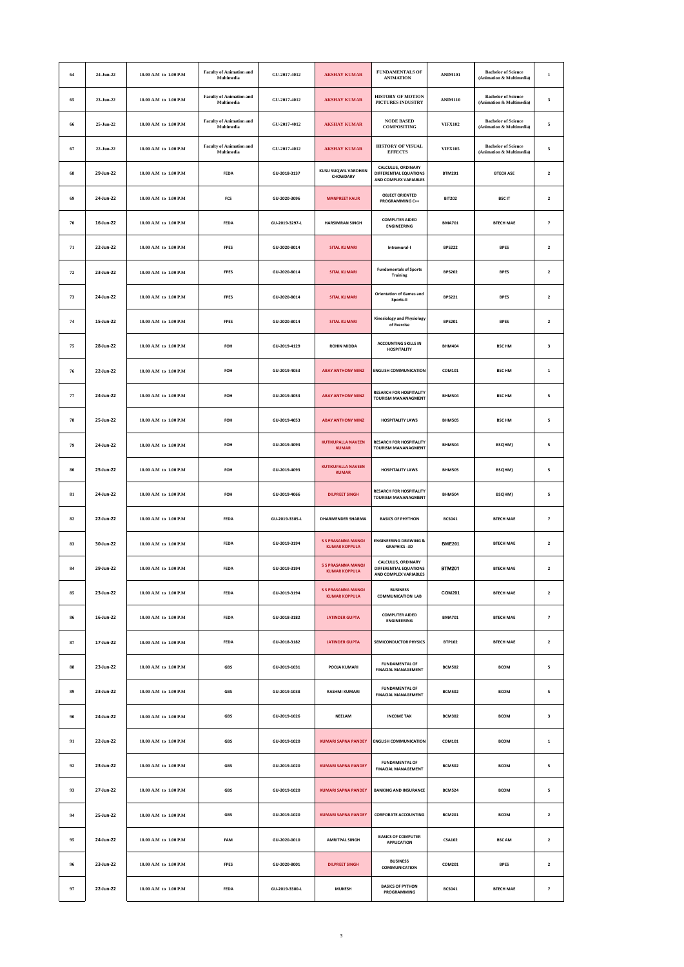| 64 | 24-Jun-22 | 10.00 A.M to 1.00 P.M     | <b>Faculty of Animation and</b><br>Multimedia | GU-2017-4012   | <b>AKSHAY KUMAR</b>                               | <b>FUNDAMENTALS OF</b><br><b>ANIMATION</b>                            | <b>ANIM101</b> | <b>Bachelor of Science</b><br>(Animation & Multimedia) | $\,$ 1                   |
|----|-----------|---------------------------|-----------------------------------------------|----------------|---------------------------------------------------|-----------------------------------------------------------------------|----------------|--------------------------------------------------------|--------------------------|
| 65 | 23-Jun-22 | 10.00 A.M to 1.00 P.M     | <b>Faculty of Animation and</b><br>Multimedia | GU-2017-4012   | <b>AKSHAY KUMAR</b>                               | HISTORY OF MOTION<br>PICTURES INDUSTRY                                | <b>ANIM110</b> | <b>Bachelor</b> of Science<br>(Animation & Multimedia) | $\overline{\mathbf{3}}$  |
| 66 | 25-Jun-22 | 10.00 A.M to 1.00 P.M     | <b>Faculty of Animation and</b><br>Multimedia | GU-2017-4012   | <b>AKSHAY KUMAR</b>                               | <b>NODE BASED</b><br><b>COMPOSITING</b>                               | <b>VIFX102</b> | <b>Bachelor</b> of Science<br>(Animation & Multimedia) | 5                        |
| 67 | 22-Jun-22 | 10.00 A.M to 1.00 P.M     | <b>Faculty of Animation and</b><br>Multimedia | GU-2017-4012   | <b>AKSHAY KUMAR</b>                               | HISTORY OF VISUAL<br><b>EFFECTS</b>                                   | <b>VIFX105</b> | <b>Bachelor of Science</b><br>(Animation & Multimedia) | $\sqrt{5}$               |
| 68 | 29-Jun-22 | 10.00 A.M to 1.00 P.M     | <b>FEDA</b>                                   | GU-2018-3137   | <b>KUSU SUQWIL VARDHAN</b><br>CHOWDARY            | CALCULUS, ORDINARY<br>DIFFERENTIAL EQUATIONS<br>AND COMPLEX VARIABLES | <b>BTM201</b>  | <b>BTECH ASE</b>                                       | $\overline{\mathbf{2}}$  |
| 69 | 24-Jun-22 | $10.00$ A.M to $1.00$ P.M | FCS                                           | GU-2020-3096   | <b>MANPREET KAUR</b>                              | <b>OBJECT ORIENTED</b><br><b>PROGRAMMING C++</b>                      | <b>BIT202</b>  | <b>BSCIT</b>                                           | $\overline{\mathbf{z}}$  |
| 70 | 16-Jun-22 | 10.00 A.M to 1.00 P.M     | FEDA                                          | GU-2019-3297-L | <b>HARSIMRAN SINGH</b>                            | <b>COMPUTER AIDED</b><br><b>ENGINEERING</b>                           | <b>BMA701</b>  | <b>BTECH MAE</b>                                       | $\overline{\phantom{a}}$ |
| 71 | 22-Jun-22 | 10.00 A.M to 1.00 P.M     | <b>FPES</b>                                   | GU-2020-8014   | <b>SITAL KUMARI</b>                               | Intramural-I                                                          | <b>BPS222</b>  | <b>BPES</b>                                            | $\overline{\mathbf{2}}$  |
| 72 | 23-Jun-22 | 10.00 A.M to 1.00 P.M     | <b>FPES</b>                                   | GU-2020-8014   | <b>SITAL KUMARI</b>                               | <b>Fundamentals of Sports</b><br>Training                             | <b>BPS202</b>  | <b>BPES</b>                                            | $\mathbf 2$              |
| 73 | 24-Jun-22 | 10.00 A.M to 1.00 P.M     | FPES                                          | GU-2020-8014   | <b>SITAL KUMARI</b>                               | <b>Orientation of Games and</b><br>Sports-II                          | <b>BPS221</b>  | <b>BPES</b>                                            | $\overline{\mathbf{2}}$  |
| 74 | 15-Jun-22 | 10.00 A.M to 1.00 P.M     | <b>FPES</b>                                   | GU-2020-8014   | <b>SITAL KUMARI</b>                               | <b>Kinesiology and Physiology</b><br>of Exercise                      | <b>BPS201</b>  | <b>BPES</b>                                            | $\overline{\mathbf{2}}$  |
| 75 | 28-Jun-22 | 10.00 A.M to 1.00 P.M     | FOH                                           | GU-2019-4129   | <b>ROHIN MIDDA</b>                                | <b>ACCOUNTING SKILLS IN</b><br><b>HOSPITALITY</b>                     | <b>BHM404</b>  | <b>BSC HM</b>                                          | 3                        |
| 76 | 22-Jun-22 | 10.00 A.M to 1.00 P.M     | FOH                                           | GU-2019-4053   | <b>ABAY ANTHONY MINZ</b>                          | <b>ENGLISH COMMUNICATION</b>                                          | COM101         | <b>BSC HM</b>                                          | $\,$ 1                   |
| 77 | 24-Jun-22 | 10.00 A.M to 1.00 P.M     | FOH                                           | GU-2019-4053   | <b>ABAY ANTHONY MINZ</b>                          | <b>RESARCH FOR HOSPITALITY</b><br><b>TOURISM MANANAGMENT</b>          | <b>BHM504</b>  | <b>BSC HM</b>                                          | 5                        |
| 78 | 25-Jun-22 | 10.00 A.M to 1.00 P.M     | FOH                                           | GU-2019-4053   | <b>ABAY ANTHONY MINZ</b>                          | <b>HOSPITALITY LAWS</b>                                               | <b>BHM505</b>  | <b>BSC HM</b>                                          | 5                        |
| 79 | 24-Jun-22 | 10.00 A.M to 1.00 P.M     | FOH                                           | GU-2019-4093   | <b>KUTIKUPALLA NAVEEN</b><br><b>KUMAR</b>         | <b>RESARCH FOR HOSPITALITY</b><br><b>TOURISM MANANAGMENT</b>          | <b>BHM504</b>  | BSC(HM)                                                | 5                        |
| 80 | 25-Jun-22 | 10.00 A.M to 1.00 P.M     | FOH                                           | GU-2019-4093   | <b>KUTIKUPALLA NAVEEN</b><br><b>KUMAR</b>         | <b>HOSPITALITY LAWS</b>                                               | <b>BHM505</b>  | BSC(HM)                                                | 5                        |
| 81 | 24-Jun-22 | 10.00 A.M to 1.00 P.M     | FOH                                           | GU-2019-4066   | <b>DILPREET SINGH</b>                             | <b>RESARCH FOR HOSPITALITY</b><br><b>TOURISM MANANAGMENT</b>          | <b>BHM504</b>  | BSC(HM)                                                | 5                        |
| 82 | 22-Jun-22 | 10.00 A.M to 1.00 P.M     | FEDA                                          | GU-2019-3305-L | <b>DHARMENDER SHARMA</b>                          | <b>BASICS OF PHYTHON</b>                                              | <b>BCS041</b>  | <b>BTECH MAE</b>                                       | $\overline{\phantom{a}}$ |
| 83 | 30-Jun-22 | 10.00 A.M to 1.00 P.M     | <b>FEDA</b>                                   | GU-2019-3194   | <b>S S PRASANNA MANOJ</b><br><b>KUMAR KOPPULA</b> | <b>ENGINEERING DRAWING &amp;</b><br><b>GRAPHICS -3D</b>               | <b>BME201</b>  | <b>BTECH MAE</b>                                       | $\overline{\mathbf{2}}$  |
| 84 | 29-Jun-22 | 10.00 A.M to 1.00 P.M     | <b>FEDA</b>                                   | GU-2019-3194   | <b>S S PRASANNA MANOJ</b><br><b>KUMAR KOPPULA</b> | CALCULUS, ORDINARY<br>DIFFERENTIAL EQUATIONS<br>AND COMPLEX VARIABLES | <b>BTM201</b>  | <b>BTECH MAE</b>                                       | $\mathbf 2$              |
| 85 | 23-Jun-22 | 10.00 A.M to 1.00 P.M     | FEDA                                          | GU-2019-3194   | <b>S S PRASANNA MANOJ</b><br><b>KUMAR KOPPULA</b> | <b>BUSINESS</b><br><b>COMMUNICATION LAB</b>                           | <b>COM201</b>  | <b>BTECH MAE</b>                                       | $\mathbf 2$              |
| 86 | 16-Jun-22 | 10.00 A.M to 1.00 P.M     | <b>FEDA</b>                                   | GU-2018-3182   | <b>JATINDER GUPTA</b>                             | <b>COMPUTER AIDED</b><br><b>ENGINEERING</b>                           | <b>BMA701</b>  | <b>BTECH MAE</b>                                       | $\overline{\phantom{a}}$ |
| 87 | 17-Jun-22 | 10.00 A.M to 1.00 P.M     | <b>FEDA</b>                                   | GU-2018-3182   | <b>JATINDER GUPTA</b>                             | <b>SEMICONDUCTOR PHYSICS</b>                                          | <b>BTP102</b>  | <b>BTECH MAE</b>                                       | $\overline{\mathbf{2}}$  |
| 88 | 23-Jun-22 | 10.00 A.M to 1.00 P.M     | GBS                                           | GU-2019-1031   | POOJA KUMARI                                      | <b>FUNDAMENTAL OF</b><br><b>FINACIAL MANAGEMENT</b>                   | <b>BCM502</b>  | <b>BCOM</b>                                            | 5                        |
| 89 | 23-Jun-22 | 10.00 A.M to 1.00 P.M     | GBS                                           | GU-2019-1038   | <b>RASHMI KUMARI</b>                              | <b>FUNDAMENTAL OF</b><br><b>FINACIAL MANAGEMENT</b>                   | <b>BCM502</b>  | <b>BCOM</b>                                            | 5                        |
| 90 | 24-Jun-22 | 10.00 A.M to 1.00 P.M     | <b>GBS</b>                                    | GU-2019-1026   | <b>NEELAM</b>                                     | <b>INCOME TAX</b>                                                     | <b>BCM302</b>  | <b>BCOM</b>                                            | 3                        |
| 91 | 22-Jun-22 | $10.00$ A.M to $1.00$ P.M | GBS                                           | GU-2019-1020   | <b>KUMARI SAPNA PANDEY</b>                        | <b>ENGLISH COMMUNICATION</b>                                          | COM101         | <b>BCOM</b>                                            | $\mathbf 1$              |
| 92 | 23-Jun-22 | 10.00 A.M to 1.00 P.M     | GBS                                           | GU-2019-1020   | <b>KUMARI SAPNA PANDEY</b>                        | <b>FUNDAMENTAL OF</b><br><b>FINACIAL MANAGEMENT</b>                   | <b>BCM502</b>  | <b>BCOM</b>                                            | 5                        |
| 93 | 27-Jun-22 | 10.00 A.M to 1.00 P.M     | <b>GBS</b>                                    | GU-2019-1020   | <b>KUMARI SAPNA PANDEY</b>                        | <b>BANKING AND INSURANCE</b>                                          | <b>BCM524</b>  | <b>BCOM</b>                                            | 5                        |
| 94 | 25-Jun-22 | 10.00 A.M to 1.00 P.M     | GBS                                           | GU-2019-1020   | <b>KUMARI SAPNA PANDEY</b>                        | <b>CORPORATE ACCOUNTING</b>                                           | <b>BCM201</b>  | <b>BCOM</b>                                            | $\mathbf 2$              |
| 95 | 24-Jun-22 | 10.00 A.M to 1.00 P.M     | FAM                                           | GU-2020-0010   | <b>AMRITPAL SINGH</b>                             | <b>BASICS OF COMPUTER</b><br><b>APPLICATION</b>                       | <b>CSA102</b>  | <b>BSC AM</b>                                          | $\overline{\mathbf{2}}$  |
| 96 | 23-Jun-22 | 10.00 A.M to 1.00 P.M     | <b>FPES</b>                                   | GU-2020-8001   | <b>DILPREET SINGH</b>                             | <b>BUSINESS</b><br>COMMUNICATION                                      | COM201         | <b>BPES</b>                                            | $\overline{\mathbf{z}}$  |
| 97 | 22-Jun-22 | $10.00$ A.M to $1.00$ P.M | FEDA                                          | GU-2019-3300-L | <b>MUKESH</b>                                     | <b>BASICS OF PYTHON</b><br>PROGRAMMING                                | <b>BCS041</b>  | <b>BTECH MAE</b>                                       | $\overline{\phantom{a}}$ |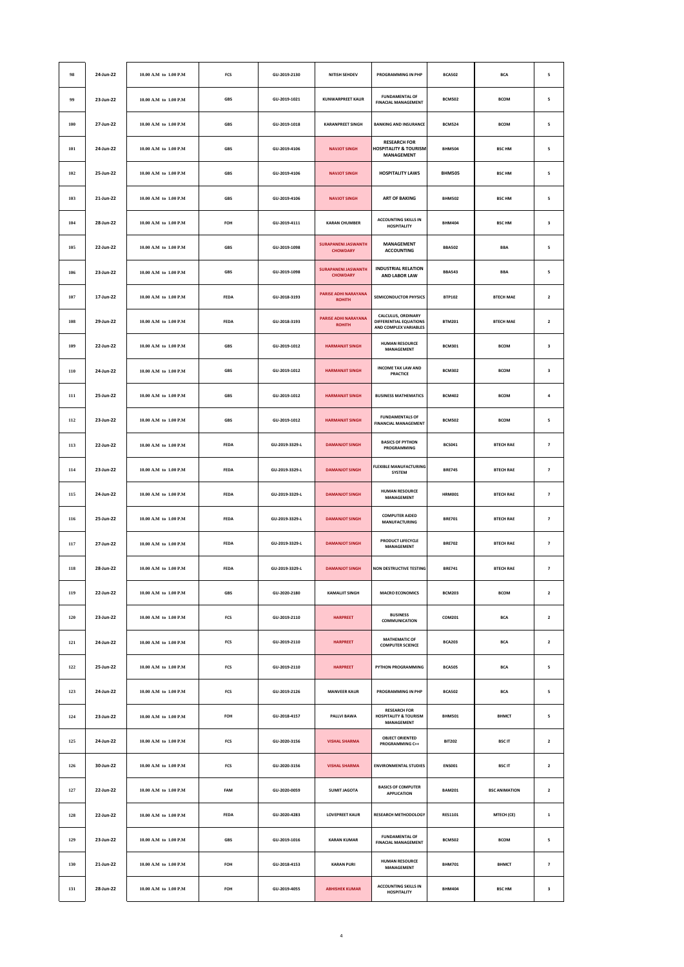| 98      | 24-Jun-22 | 10.00 A.M to 1.00 P.M     | FCS         | GU-2019-2130   | <b>NITISH SEHDEV</b>                          | PROGRAMMING IN PHP                                                           | <b>BCA502</b>  | <b>BCA</b>           | 5                       |
|---------|-----------|---------------------------|-------------|----------------|-----------------------------------------------|------------------------------------------------------------------------------|----------------|----------------------|-------------------------|
| 99      | 23-Jun-22 | 10.00 A.M to 1.00 P.M     | GBS         | GU-2019-1021   | <b>KUNWARPREET KAUR</b>                       | <b>FUNDAMENTAL OF</b><br><b>FINACIAL MANAGEMENT</b>                          | <b>BCM502</b>  | <b>BCOM</b>          | 5                       |
| 100     | 27-Jun-22 | 10.00 A.M to 1.00 P.M     | GBS         | GU-2019-1018   | <b>KARANPREET SINGH</b>                       | <b>BANKING AND INSURANCE</b>                                                 | <b>BCM524</b>  | <b>BCOM</b>          | 5                       |
| 101     | 24-Jun-22 | 10.00 A.M to 1.00 P.M     | GBS         | GU-2019-4106   | <b>NAVJOT SINGH</b>                           | <b>RESEARCH FOR</b><br><b>HOSPITALITY &amp; TOURISM</b><br><b>MANAGEMENT</b> | <b>BHM504</b>  | <b>BSC HM</b>        | 5                       |
| 102     | 25-Jun-22 | 10.00 A.M to 1.00 P.M     | GBS         | GU-2019-4106   | <b>NAVJOT SINGH</b>                           | <b>HOSPITALITY LAWS</b>                                                      | <b>BHM505</b>  | <b>BSC HM</b>        | 5                       |
| 103     | 21-Jun-22 | 10.00 A.M to 1.00 P.M     | GBS         | GU-2019-4106   | <b>NAVJOT SINGH</b>                           | <b>ART OF BAKING</b>                                                         | <b>BHM502</b>  | <b>BSC HM</b>        | 5                       |
| 104     | 28-Jun-22 | 10.00 A.M to 1.00 P.M     | FOH         | GU-2019-4111   | <b>KARAN CHUMBER</b>                          | <b>ACCOUNTING SKILLS IN</b><br><b>HOSPITALITY</b>                            | <b>BHM404</b>  | <b>BSC HM</b>        | 3                       |
| 105     | 22-Jun-22 | 10.00 A.M to 1.00 P.M     | GBS         | GU-2019-1098   | <b>SURAPANENI JASWANTH</b><br><b>CHOWDARY</b> | MANAGEMENT<br><b>ACCOUNTING</b>                                              | <b>BBA502</b>  | <b>BBA</b>           | 5                       |
| 106     | 23-Jun-22 | 10.00 A.M to 1.00 P.M     | GBS         | GU-2019-1098   | <b>SURAPANENI JASWANTH</b><br><b>CHOWDARY</b> | <b>INDUSTRIAL RELATION</b><br>AND LABOR LAW                                  | <b>BBA543</b>  | <b>BBA</b>           | 5                       |
| 107     | 17-Jun-22 | 10.00 A.M to 1.00 P.M     | <b>FEDA</b> | GU-2018-3193   | <b>PARISE ADHI NARAYANA</b><br><b>ROHITH</b>  | <b>SEMICONDUCTOR PHYSICS</b>                                                 | <b>BTP102</b>  | <b>BTECH MAE</b>     | $\overline{\mathbf{2}}$ |
| 108     | 29-Jun-22 | 10.00 A.M to 1.00 P.M     | FEDA        | GU-2018-3193   | PARISE ADHI NARAYANA<br><b>ROHITH</b>         | CALCULUS, ORDINARY<br>DIFFERENTIAL EQUATIONS<br>AND COMPLEX VARIABLES        | <b>BTM201</b>  | <b>BTECH MAE</b>     | $\mathbf 2$             |
| 109     | 22-Jun-22 | 10.00 A.M to 1.00 P.M     | GBS         | GU-2019-1012   | <b>HARMANJIT SINGH</b>                        | <b>HUMAN RESOURCE</b><br><b>MANAGEMENT</b>                                   | <b>BCM301</b>  | <b>BCOM</b>          | 3                       |
| 110     | 24-Jun-22 | 10.00 A.M to 1.00 P.M     | <b>GBS</b>  | GU-2019-1012   | <b>HARMANJIT SINGH</b>                        | <b>INCOME TAX LAW AND</b><br>PRACTICE                                        | <b>BCM302</b>  | <b>BCOM</b>          | 3                       |
| 111     | 25-Jun-22 | 10.00 A.M to 1.00 P.M     | GBS         | GU-2019-1012   | <b>HARMANJIT SINGH</b>                        | <b>BUSINESS MATHEMATICS</b>                                                  | <b>BCM402</b>  | <b>BCOM</b>          | $\pmb{4}$               |
| 112     | 23-Jun-22 | 10.00 A.M to 1.00 P.M     | GBS         | GU-2019-1012   | <b>HARMANJIT SINGH</b>                        | <b>FUNDAMENTALS OF</b><br><b>FINANCIAL MANAGEMENT</b>                        | <b>BCM502</b>  | <b>BCOM</b>          | 5                       |
| 113     | 22-Jun-22 | 10.00 A.M to 1.00 P.M     | <b>FEDA</b> | GU-2019-3329-L | <b>DAMANJOT SINGH</b>                         | <b>BASICS OF PYTHON</b><br>PROGRAMMING                                       | <b>BCS041</b>  | <b>BTECH RAE</b>     | $\overline{z}$          |
| 114     | 23-Jun-22 | 10.00 A.M to 1.00 P.M     | FEDA        | GU-2019-3329-L | <b>DAMANJOT SINGH</b>                         | <b>FLEXIBLE MANUFACTURING</b><br>SYSTEM                                      | <b>BRE745</b>  | <b>BTECH RAE</b>     | $\overline{\textbf{7}}$ |
| 115     | 24-Jun-22 | 10.00 A.M to 1.00 P.M     | FEDA        | GU-2019-3329-L | <b>DAMANJOT SINGH</b>                         | <b>HUMAN RESOURCE</b><br>MANAGEMENT                                          | <b>HRM001</b>  | <b>BTECH RAE</b>     | $\overline{\textbf{7}}$ |
| 116     | 25-Jun-22 | 10.00 A.M to 1.00 P.M     | <b>FEDA</b> | GU-2019-3329-L | <b>DAMANIOT SINGH</b>                         | <b>COMPUTER AIDED</b><br><b>MANUFACTURING</b>                                | <b>BRE701</b>  | <b>BTECH RAE</b>     | $\overline{\textbf{7}}$ |
| 117     | 27-Jun-22 | 10.00 A.M to 1.00 P.M     | FEDA        | GU-2019-3329-L | <b>DAMANJOT SINGH</b>                         | PRODUCT LIFECYCLE<br><b>MANAGEMENT</b>                                       | <b>BRE702</b>  | <b>BTECH RAE</b>     | $\overline{\textbf{7}}$ |
| 118     | 28-Jun-22 | 10.00 A.M to 1.00 P.M     | FEDA        | GU-2019-3329-L | <b>DAMANJOT SINGH</b>                         | <b>NON DESTRUCTIVE TESTING</b>                                               | <b>BRE741</b>  | <b>BTECH RAE</b>     | $\overline{\textbf{z}}$ |
| 119     | 22-Jun-22 | 10.00 A.M to 1.00 P.M     | <b>GBS</b>  | GU-2020-2180   | <b>KAMALJIT SINGH</b>                         | <b>MACRO ECONOMICS</b>                                                       | <b>BCM203</b>  | <b>BCOM</b>          | $\overline{\mathbf{2}}$ |
| 120     | 23-Jun-22 | 10.00 A.M to 1.00 P.M     | FCS         | GU-2019-2110   | <b>HARPREET</b>                               | <b>BUSINESS</b><br>COMMUNICATION                                             | COM201         | <b>BCA</b>           | $\mathbf{2}$            |
| $121\,$ | 24-Jun-22 | 10.00 A.M to 1.00 P.M     | FCS         | GU-2019-2110   | <b>HARPREET</b>                               | <b>MATHEMATIC OF</b><br><b>COMPUTER SCIENCE</b>                              | <b>BCA203</b>  | <b>BCA</b>           | $\mathbf{2}$            |
| 122     | 25-Jun-22 | 10.00 A.M to 1.00 P.M     | <b>FCS</b>  | GU-2019-2110   | <b>HARPREET</b>                               | PYTHON PROGRAMMING                                                           | <b>BCA505</b>  | <b>BCA</b>           | 5                       |
| 123     | 24-Jun-22 | 10.00 A.M to 1.00 P.M     | FCS         | GU-2019-2126   | <b>MANVEER KAUR</b>                           | PROGRAMMING IN PHP                                                           | <b>BCA502</b>  | <b>BCA</b>           | 5                       |
| 124     | 23-Jun-22 | $10.00$ A.M to $1.00$ P.M | FOH         | GU-2018-4157   | PALLVI BAWA                                   | <b>RESEARCH FOR</b><br><b>HOSPITALITY &amp; TOURISM</b><br><b>MANAGEMENT</b> | <b>BHM501</b>  | <b>BHMCT</b>         | 5                       |
| 125     | 24-Jun-22 | 10.00 A.M to 1.00 P.M     | FCS         | GU-2020-3156   | <b>VISHAL SHARMA</b>                          | <b>OBJECT ORIENTED</b><br>PROGRAMMING C++                                    | <b>BIT202</b>  | <b>BSCIT</b>         | $\overline{\mathbf{2}}$ |
| 126     | 30-Jun-22 | 10.00 A.M to 1.00 P.M     | FCS         | GU-2020-3156   | <b>VISHAL SHARMA</b>                          | <b>ENVIRONMENTAL STUDIES</b>                                                 | <b>ENS001</b>  | <b>BSCIT</b>         | $\mathbf{2}$            |
| 127     | 22-Jun-22 | 10.00 A.M to 1.00 P.M     | FAM         | GU-2020-0059   | <b>SUMIT JAGOTA</b>                           | <b>BASICS OF COMPUTER</b><br><b>APPLICATION</b>                              | <b>BAM201</b>  | <b>BSC ANIMATION</b> | $\mathbf{2}$            |
| 128     | 22-Jun-22 | 10.00 A.M to 1.00 P.M     | <b>FEDA</b> | GU-2020-4283   | <b>LOVEPREET KAUR</b>                         | <b>RESEARCH METHODOLOGY</b>                                                  | <b>RES1101</b> | MTECH (CE)           | $\mathbf 1$             |
| 129     | 23-Jun-22 | 10.00 A.M to 1.00 P.M     | GBS         | GU-2019-1016   | <b>KARAN KUMAR</b>                            | <b>FUNDAMENTAL OF</b><br><b>FINACIAL MANAGEMENT</b>                          | <b>BCM502</b>  | <b>BCOM</b>          | 5                       |
| 130     | 21-Jun-22 | 10.00 A.M to 1.00 P.M     | FOH         | GU-2018-4153   | <b>KARAN PURI</b>                             | <b>HUMAN RESOURCE</b><br>MANAGEMENT                                          | <b>BHM701</b>  | <b>BHMCT</b>         | $\overline{\textbf{7}}$ |
| 131     | 28-Jun-22 | 10.00 A.M to 1.00 P.M     | FOH         | GU-2019-4055   | <b>ABHISHEK KUMAR</b>                         | <b>ACCOUNTING SKILLS IN</b><br><b>HOSPITALITY</b>                            | <b>BHM404</b>  | <b>BSC HM</b>        | 3                       |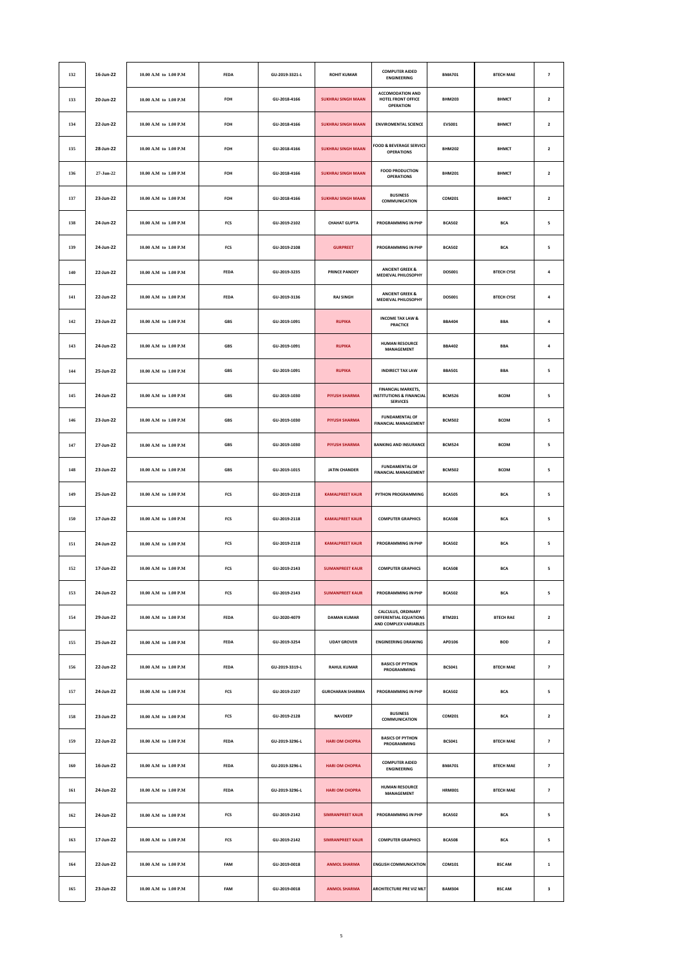| 132     | 16-Jun-22 | 10.00 A.M to 1.00 P.M     | <b>FEDA</b> | GU-2019-3321-L | <b>ROHIT KUMAR</b>        | <b>COMPUTER AIDED</b><br><b>ENGINEERING</b>                                         | <b>BMA701</b> | <b>BTECH MAE</b>  | $\overline{\phantom{a}}$ |
|---------|-----------|---------------------------|-------------|----------------|---------------------------|-------------------------------------------------------------------------------------|---------------|-------------------|--------------------------|
| 133     | 20-Jun-22 | 10.00 A.M to 1.00 P.M     | FOH         | GU-2018-4166   | <b>SUKHRAJ SINGH MAAN</b> | <b>ACCOMODATION AND</b><br>HOTEL FRONT OFFICE<br><b>OPERATION</b>                   | <b>BHM203</b> | <b>BHMCT</b>      | $\overline{\mathbf{2}}$  |
| 134     | 22-Jun-22 | 10.00 A.M to 1.00 P.M     | FOH         | GU-2018-4166   | <b>SUKHRAJ SINGH MAAN</b> | <b>ENVIROMENTAL SCIENCE</b>                                                         | <b>EVS001</b> | <b>BHMCT</b>      | $\mathbf{2}$             |
| 135     | 28-Jun-22 | 10.00 A.M to 1.00 P.M     | FOH         | GU-2018-4166   | <b>SUKHRAJ SINGH MAAN</b> | FOOD & BEVERAGE SERVICE<br><b>OPERATIONS</b>                                        | <b>BHM202</b> | <b>BHMCT</b>      | $\mathbf 2$              |
| 136     | 27-Jun-22 | $10.00$ A.M to $1.00$ P.M | FOH         | GU-2018-4166   | <b>SUKHRAJ SINGH MAAN</b> | <b>FOOD PRODUCTION</b><br><b>OPERATIONS</b>                                         | <b>BHM201</b> | <b>BHMCT</b>      | $\overline{\mathbf{2}}$  |
| 137     | 23-Jun-22 | 10.00 A.M to 1.00 P.M     | FOH         | GU-2018-4166   | <b>SUKHRAJ SINGH MAAN</b> | <b>BUSINESS</b><br>COMMUNICATION                                                    | COM201        | <b>BHMCT</b>      | $\overline{\mathbf{2}}$  |
| 138     | 24-Jun-22 | 10.00 A.M to 1.00 P.M     | FCS         | GU-2019-2102   | <b>CHAHAT GUPTA</b>       | <b>PROGRAMMING IN PHP</b>                                                           | <b>BCA502</b> | <b>BCA</b>        | 5                        |
| 139     | 24-Jun-22 | $10.00$ A.M to $1.00$ P.M | FCS         | GU-2019-2108   | <b>GURPREET</b>           | PROGRAMMING IN PHP                                                                  | <b>BCA502</b> | <b>BCA</b>        | 5                        |
| 140     | 22-Jun-22 | 10.00 A.M to 1.00 P.M     | FEDA        | GU-2019-3235   | <b>PRINCE PANDEY</b>      | <b>ANCIENT GREEK &amp;</b><br>MEDIEVAL PHILOSOPHY                                   | DOS001        | <b>BTECH CYSE</b> | 4                        |
| 141     | 22-Jun-22 | 10.00 A.M to 1.00 P.M     | <b>FEDA</b> | GU-2019-3136   | <b>RAJ SINGH</b>          | <b>ANCIENT GREEK &amp;</b><br><b>MEDIEVAL PHILOSOPHY</b>                            | DOS001        | <b>BTECH CYSE</b> | 4                        |
| 142     | 23-Jun-22 | 10.00 A.M to 1.00 P.M     | GBS         | GU-2019-1091   | <b>RUPIKA</b>             | <b>INCOME TAX LAW &amp;</b><br><b>PRACTICE</b>                                      | <b>BBA404</b> | <b>BBA</b>        | 4                        |
| 143     | 24-Jun-22 | 10.00 A.M to 1.00 P.M     | GBS         | GU-2019-1091   | <b>RUPIKA</b>             | <b>HUMAN RESOURCE</b><br>MANAGEMENT                                                 | <b>BBA402</b> | <b>BBA</b>        | $\pmb{4}$                |
| 144     | 25-Jun-22 | 10.00 A.M to 1.00 P.M     | <b>GBS</b>  | GU-2019-1091   | <b>RUPIKA</b>             | <b>INDIRECT TAX LAW</b>                                                             | <b>BBA501</b> | <b>BBA</b>        | 5                        |
| 145     | 24-Jun-22 | 10.00 A.M to 1.00 P.M     | GBS         | GU-2019-1030   | PIYUSH SHARMA             | <b>FINANCIAL MARKETS.</b><br><b>INSTITUTIONS &amp; FINANCIAL</b><br><b>SERVICES</b> | <b>BCM526</b> | <b>BCOM</b>       | 5                        |
| 146     | 23-Jun-22 | 10.00 A.M to 1.00 P.M     | GBS         | GU-2019-1030   | <b>PIYUSH SHARMA</b>      | <b>FUNDAMENTAL OF</b><br><b>FINANCIAL MANAGEMENT</b>                                | <b>BCM502</b> | <b>BCOM</b>       | 5                        |
| 147     | 27-Jun-22 | 10.00 A.M to 1.00 P.M     | <b>GBS</b>  | GU-2019-1030   | <b>PIYUSH SHARMA</b>      | <b>BANKING AND INSURANCE</b>                                                        | <b>BCM524</b> | <b>BCOM</b>       | 5                        |
| 148     | 23-Jun-22 | $10.00$ A.M to $1.00$ P.M | GBS         | GU-2019-1015   | <b>JATIN CHANDER</b>      | <b>FUNDAMENTAL OF</b><br><b>FINANCIAL MANAGEMENT</b>                                | <b>BCM502</b> | <b>BCOM</b>       | 5                        |
| 149     | 25-Jun-22 | 10.00 A.M to 1.00 P.M     | FCS         | GU-2019-2118   | <b>KAMALPREET KAUR</b>    | PYTHON PROGRAMMING                                                                  | <b>BCA505</b> | <b>BCA</b>        | 5                        |
| 150     | 17-Jun-22 | 10.00 A.M to 1.00 P.M     | FCS         | GU-2019-2118   | <b>KAMALPREET KAUR</b>    | <b>COMPUTER GRAPHICS</b>                                                            | <b>BCA508</b> | <b>BCA</b>        | 5                        |
| 151     | 24-Jun-22 | $10.00$ A.M to $1.00$ P.M | FCS         | GU-2019-2118   | <b>KAMALPREET KAUR</b>    | PROGRAMMING IN PHP                                                                  | <b>BCA502</b> | <b>BCA</b>        | 5                        |
| 152     | 17-Jun-22 | 10.00 A.M to 1.00 P.M     | FCS         | GU-2019-2143   | <b>SUMANPREET KAUR</b>    | <b>COMPUTER GRAPHICS</b>                                                            | <b>BCA508</b> | <b>BCA</b>        | 5                        |
| 153     | 24-Jun-22 | 10.00 A.M to 1.00 P.M     | FCS         | GU-2019-2143   | <b>SUMANPREET KAUR</b>    | PROGRAMMING IN PHP                                                                  | <b>BCA502</b> | <b>BCA</b>        | 5                        |
| 154     | 29-Jun-22 | $10.00$ A.M to $1.00$ P.M | FEDA        | GU-2020-4079   | <b>DAMAN KUMAR</b>        | CALCULUS, ORDINARY<br>DIFFERENTIAL EQUATIONS<br>AND COMPLEX VARIABLES               | <b>BTM201</b> | <b>BTECH RAE</b>  | $\mathbf 2$              |
| 155     | 25-Jun-22 | 10.00 A.M to 1.00 P.M     | FEDA        | GU-2019-3254   | <b>UDAY GROVER</b>        | <b>ENGINEERING DRAWING</b>                                                          | APD106        | <b>BOD</b>        | $\mathbf{2}$             |
| 156     | 22-Jun-22 | 10.00 A.M to 1.00 P.M     | <b>FEDA</b> | GU-2019-3319-L | <b>RAHUL KUMAR</b>        | <b>BASICS OF PYTHON</b><br>PROGRAMMING                                              | <b>BCS041</b> | <b>BTECH MAE</b>  | $\overline{\phantom{a}}$ |
| 157     | 24-Jun-22 | 10.00 A.M to 1.00 P.M     | FCS         | GU-2019-2107   | <b>GURCHARAN SHARMA</b>   | PROGRAMMING IN PHP                                                                  | <b>BCA502</b> | <b>BCA</b>        | 5                        |
| 158     | 23-Jun-22 | 10.00 A.M to 1.00 P.M     | FCS         | GU-2019-2128   | <b>NAVDEEP</b>            | <b>BUSINESS</b><br>COMMUNICATION                                                    | COM201        | <b>BCA</b>        | $\mathbf{2}$             |
| 159     | 22-Jun-22 | 10.00 A.M to 1.00 P.M     | <b>FEDA</b> | GU-2019-3296-L | <b>HARI OM CHOPRA</b>     | <b>BASICS OF PYTHON</b><br>PROGRAMMING                                              | <b>BCS041</b> | <b>BTECH MAE</b>  | $\overline{z}$           |
| 160     | 16-Jun-22 | $10.00$ A.M to $1.00$ P.M | <b>FEDA</b> | GU-2019-3296-L | <b>HARI OM CHOPRA</b>     | <b>COMPUTER AIDED</b><br><b>ENGINEERING</b>                                         | <b>BMA701</b> | <b>BTECH MAE</b>  | $\overline{\phantom{a}}$ |
| $161\,$ | 24-Jun-22 | 10.00 A.M to 1.00 P.M     | FEDA        | GU-2019-3296-L | <b>HARI OM CHOPRA</b>     | <b>HUMAN RESOURCE</b><br>MANAGEMENT                                                 | <b>HRM001</b> | <b>BTECH MAE</b>  | $\overline{\phantom{a}}$ |
| 162     | 24-Jun-22 | 10.00 A.M to 1.00 P.M     | FCS         | GU-2019-2142   | <b>SIMRANPREET KAUR</b>   | <b>PROGRAMMING IN PHP</b>                                                           | <b>BCA502</b> | <b>BCA</b>        | 5                        |
| 163     | 17-Jun-22 | $10.00$ A.M to $1.00$ P.M | FCS         | GU-2019-2142   | <b>SIMRANPREET KAUR</b>   | <b>COMPUTER GRAPHICS</b>                                                            | <b>BCA508</b> | <b>BCA</b>        | 5                        |
| 164     | 22-Jun-22 | 10.00 A.M to 1.00 P.M     | FAM         | GU-2019-0018   | <b>ANMOL SHARMA</b>       | <b>ENGLISH COMMUNICATION</b>                                                        | COM101        | <b>BSC AM</b>     | $\,$ 1                   |
| $165\,$ | 23-Jun-22 | 10.00 A.M to 1.00 P.M     | FAM         | GU-2019-0018   | <b>ANMOL SHARMA</b>       | ARCHITECTURE PRE VIZ MLT                                                            | <b>BAM304</b> | <b>BSC AM</b>     | 3                        |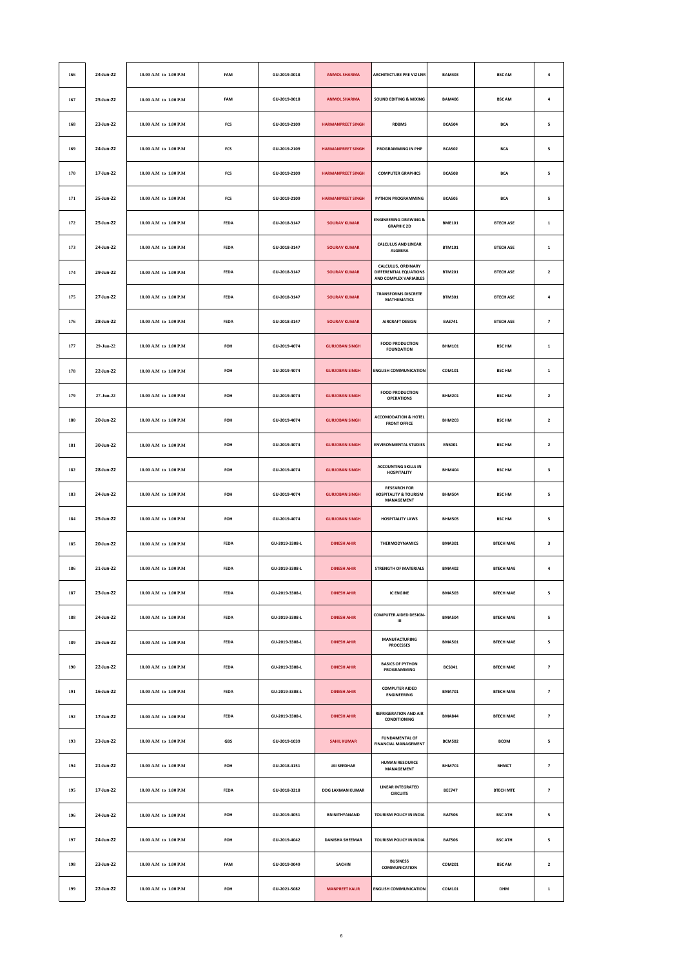| 166 | 24-Jun-22 | 10.00 A.M to 1.00 P.M     | FAM         | GU-2019-0018   | <b>ANMOL SHARMA</b>      | <b>ARCHITECTURE PRE VIZ LNR</b>                                              | <b>BAM403</b> | <b>BSC AM</b>    | $\pmb{4}$                |
|-----|-----------|---------------------------|-------------|----------------|--------------------------|------------------------------------------------------------------------------|---------------|------------------|--------------------------|
| 167 | 25-Jun-22 | 10.00 A.M to 1.00 P.M     | FAM         | GU-2019-0018   | <b>ANMOL SHARMA</b>      | <b>SOUND EDITING &amp; MIXING</b>                                            | <b>BAM406</b> | <b>BSC AM</b>    | $\overline{a}$           |
| 168 | 23-Jun-22 | 10.00 A.M to 1.00 P.M     | FCS         | GU-2019-2109   | <b>HARMANPREET SINGH</b> | <b>RDBMS</b>                                                                 | <b>BCA504</b> | <b>BCA</b>       | 5                        |
| 169 | 24-Jun-22 | 10.00 A.M to 1.00 P.M     | FCS         | GU-2019-2109   | <b>HARMANPREET SINGH</b> | PROGRAMMING IN PHP                                                           | <b>BCA502</b> | <b>BCA</b>       | 5                        |
| 170 | 17-Jun-22 | 10.00 A.M to 1.00 P.M     | FCS         | GU-2019-2109   | <b>HARMANPREET SINGH</b> | <b>COMPUTER GRAPHICS</b>                                                     | <b>BCA508</b> | <b>BCA</b>       | 5                        |
| 171 | 25-Jun-22 | 10.00 A.M to 1.00 P.M     | FCS         | GU-2019-2109   | <b>HARMANPREET SINGH</b> | <b>PYTHON PROGRAMMING</b>                                                    | <b>BCA505</b> | <b>BCA</b>       | 5                        |
| 172 | 25-Jun-22 | 10.00 A.M to 1.00 P.M     | FEDA        | GU-2018-3147   | <b>SOURAV KUMAR</b>      | <b>ENGINEERING DRAWING &amp;</b><br><b>GRAPHIC 2D</b>                        | <b>BME101</b> | <b>BTECH ASE</b> | $\,$ 1                   |
| 173 | 24-Jun-22 | 10.00 A.M to 1.00 P.M     | <b>FEDA</b> | GU-2018-3147   | <b>SOURAV KUMAR</b>      | <b>CALCULUS AND LINEAR</b><br><b>ALGEBRA</b>                                 | <b>BTM101</b> | <b>BTECH ASE</b> | $\,$ 1                   |
| 174 | 29-Jun-22 | 10.00 A.M to 1.00 P.M     | <b>FEDA</b> | GU-2018-3147   | <b>SOURAV KUMAR</b>      | CALCULUS, ORDINARY<br>DIFFERENTIAL EQUATIONS<br>AND COMPLEX VARIABLES        | <b>BTM201</b> | <b>BTECH ASE</b> | $\overline{\mathbf{c}}$  |
| 175 | 27-Jun-22 | 10.00 A.M to 1.00 P.M     | FEDA        | GU-2018-3147   | <b>SOURAV KUMAR</b>      | <b>TRANSFORMS DISCRETE</b><br><b>MATHEMATICS</b>                             | <b>BTM301</b> | <b>BTECH ASE</b> | $\pmb{4}$                |
| 176 | 28-Jun-22 | 10.00 A.M to 1.00 P.M     | <b>FEDA</b> | GU-2018-3147   | <b>SOURAV KUMAR</b>      | <b>AIRCRAFT DESIGN</b>                                                       | <b>BAE741</b> | <b>BTFCH ASE</b> | $\overline{\phantom{a}}$ |
| 177 | 29-Jun-22 | 10.00 A.M to 1.00 P.M     | FOH         | GU-2019-4074   | <b>GURJOBAN SINGH</b>    | <b>FOOD PRODUCTION</b><br><b>FOUNDATION</b>                                  | <b>BHM101</b> | <b>BSC HM</b>    | $\,$ 1                   |
| 178 | 22-Jun-22 | 10.00 A.M to 1.00 P.M     | FOH         | GU-2019-4074   | <b>GURJOBAN SINGH</b>    | <b>ENGLISH COMMUNICATION</b>                                                 | COM101        | <b>BSC HM</b>    | $\,$ 1                   |
| 179 | 27-Jun-22 | 10.00 A.M to 1.00 P.M     | FOH         | GU-2019-4074   | <b>GURJOBAN SINGH</b>    | <b>FOOD PRODUCTION</b><br><b>OPERATIONS</b>                                  | <b>BHM201</b> | <b>BSC HM</b>    | $\overline{2}$           |
| 180 | 20-Jun-22 | 10.00 A.M to 1.00 P.M     | FOH         | GU-2019-4074   | <b>GURJOBAN SINGH</b>    | <b>ACCOMODATION &amp; HOTEL</b><br><b>FRONT OFFICE</b>                       | <b>BHM203</b> | <b>BSC HM</b>    | $\overline{\mathbf{c}}$  |
| 181 | 30-Jun-22 | 10.00 A.M to 1.00 P.M     | FOH         | GU-2019-4074   | <b>GURJOBAN SINGH</b>    | <b>ENVIRONMENTAL STUDIES</b>                                                 | <b>ENS001</b> | <b>BSC HM</b>    | $\overline{\mathbf{c}}$  |
| 182 | 28-Jun-22 | 10.00 A.M to 1.00 P.M     | FOH         | GU-2019-4074   | <b>GURJOBAN SINGH</b>    | <b>ACCOUNTING SKILLS IN</b><br><b>HOSPITALITY</b>                            | <b>BHM404</b> | <b>BSC HM</b>    | 3                        |
| 183 | 24-Jun-22 | 10.00 A.M to 1.00 P.M     | FOH         | GU-2019-4074   | <b>GURJOBAN SINGH</b>    | <b>RESEARCH FOR</b><br><b>HOSPITALITY &amp; TOURISM</b><br><b>MANAGEMENT</b> | <b>BHM504</b> | <b>BSC HM</b>    | 5                        |
| 184 | 25-Jun-22 | 10.00 A.M to 1.00 P.M     | FOH         | GU-2019-4074   | <b>GURJOBAN SINGH</b>    | <b>HOSPITALITY LAWS</b>                                                      | <b>BHM505</b> | <b>BSC HM</b>    | 5                        |
| 185 | 20-Jun-22 | 10.00 A.M to 1.00 P.M     | <b>FEDA</b> | GU-2019-3308-L | <b>DINESH AHIR</b>       | <b>THERMODYNAMICS</b>                                                        | <b>BMA301</b> | <b>BTECH MAE</b> | 3                        |
| 186 | 21-Jun-22 | 10.00 A.M to 1.00 P.M     | <b>FEDA</b> | GU-2019-3308-L | <b>DINESH AHIR</b>       | <b>STRENGTH OF MATERIALS</b>                                                 | <b>BMA402</b> | <b>BTECH MAE</b> | $\pmb{4}$                |
| 187 | 23-Jun-22 | 10.00 A.M to 1.00 P.M     | FEDA        | GU-2019-3308-L | <b>DINESH AHIR</b>       | <b>IC ENGINE</b>                                                             | <b>BMA503</b> | <b>BTECH MAE</b> | 5                        |
| 188 | 24-Jun-22 | 10.00 A.M to 1.00 P.M     | <b>FEDA</b> | GU-2019-3308-L | <b>DINESH AHIR</b>       | <b>COMPUTER AIDED DESIGN-</b><br>Ш                                           | <b>BMA504</b> | <b>BTECH MAE</b> | 5                        |
| 189 | 25-Jun-22 | 10.00 A.M to 1.00 P.M     | <b>FEDA</b> | GU-2019-3308-L | <b>DINESH AHIR</b>       | <b>MANUFACTURING</b><br><b>PROCESSES</b>                                     | <b>BMA501</b> | <b>BTECH MAE</b> | 5                        |
| 190 | 22-Jun-22 | 10.00 A.M to 1.00 P.M     | FEDA        | GU-2019-3308-L | <b>DINESH AHIR</b>       | <b>BASICS OF PYTHON</b><br>PROGRAMMING                                       | <b>BCS041</b> | <b>BTECH MAE</b> | $\overline{\mathbf{z}}$  |
| 191 | 16-Jun-22 | 10.00 A.M to 1.00 P.M     | FEDA        | GU-2019-3308-L | <b>DINESH AHIR</b>       | <b>COMPUTER AIDED</b><br><b>ENGINEERING</b>                                  | <b>BMA701</b> | <b>BTECH MAE</b> | $\overline{\phantom{a}}$ |
| 192 | 17-Jun-22 | 10.00 A.M to 1.00 P.M     | <b>FEDA</b> | GU-2019-3308-L | <b>DINESH AHIR</b>       | <b>REFRIGERATION AND AIR</b><br><b>CONDITIONING</b>                          | <b>BMA844</b> | <b>BTECH MAE</b> | $\overline{\phantom{a}}$ |
| 193 | 23-Jun-22 | $10.00$ A.M to $1.00$ P.M | GBS         | GU-2019-1039   | <b>SAHIL KUMAR</b>       | <b>FUNDAMENTAL OF</b><br><b>FINANCIAL MANAGEMENT</b>                         | <b>BCM502</b> | <b>BCOM</b>      | 5                        |
| 194 | 21-Jun-22 | 10.00 A.M to 1.00 P.M     | FOH         | GU-2018-4151   | <b>JAI SEEDHAR</b>       | <b>HUMAN RESOURCE</b><br>MANAGEMENT                                          | <b>BHM701</b> | <b>BHMCT</b>     | $\overline{\phantom{a}}$ |
| 195 | 17-Jun-22 | 10.00 A.M to 1.00 P.M     | <b>FEDA</b> | GU-2018-3218   | <b>DDG LAXMAN KUMAR</b>  | <b>LINEAR INTEGRATED</b><br><b>CIRCUITS</b>                                  | <b>BEE747</b> | <b>BTECH MTE</b> | $\overline{z}$           |
| 196 | 24-Jun-22 | 10.00 A.M to 1.00 P.M     | FOH         | GU-2019-4051   | <b>BN NITHYANAND</b>     | TOURISM POLICY IN INDIA                                                      | <b>BAT506</b> | <b>BSC ATH</b>   | 5                        |
| 197 | 24-Jun-22 | 10.00 A.M to 1.00 P.M     | FOH         | GU-2019-4042   | <b>DANISHA SHEEMAR</b>   | TOURISM POLICY IN INDIA                                                      | <b>BAT506</b> | <b>BSC ATH</b>   | 5                        |
| 198 | 23-Jun-22 | 10.00 A.M to 1.00 P.M     | FAM         | GU-2019-0049   | SACHIN                   | <b>BUSINESS</b><br>COMMUNICATION                                             | COM201        | <b>BSC AM</b>    | $\overline{\mathbf{z}}$  |
| 199 | 22-Jun-22 | $10.00$ A.M to $1.00$ P.M | FOH         | GU-2021-5082   | <b>MANPREET KAUR</b>     | <b>ENGLISH COMMUNICATION</b>                                                 | COM101        | DHM              | $\mathbf 1$              |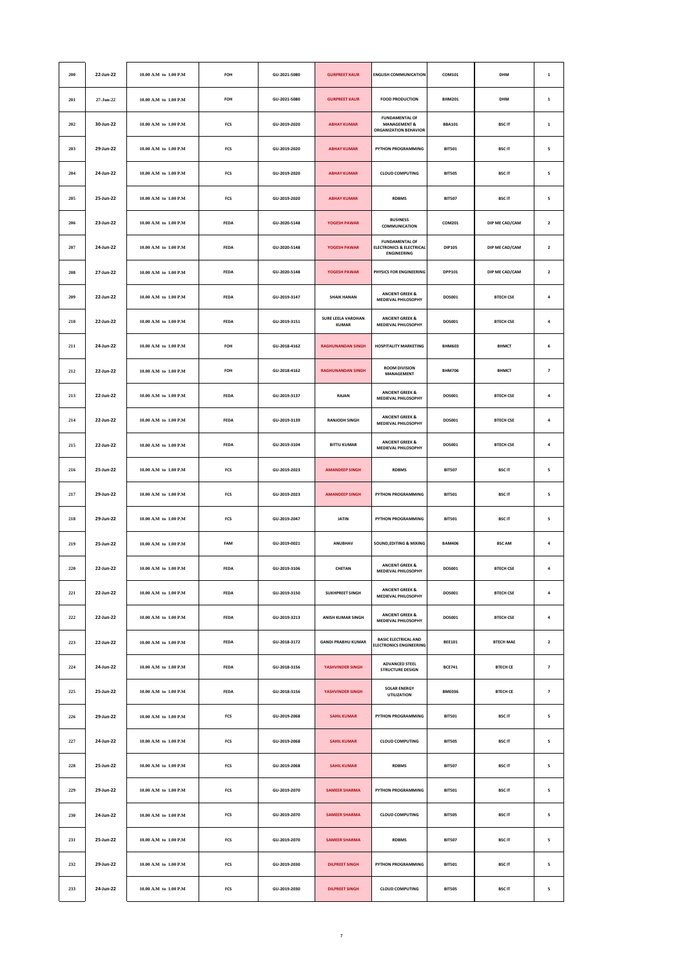| 200       | 22-Jun-22 | 10.00 A.M to 1.00 P.M       | FOH         | GU-2021-5080 | <b>GURPREET KAUR</b>                      | <b>ENGLISH COMMUNICATION</b>                                                       | COM101        | DHM              | $\mathbf 1$             |
|-----------|-----------|-----------------------------|-------------|--------------|-------------------------------------------|------------------------------------------------------------------------------------|---------------|------------------|-------------------------|
| 201       | 27-Jun-22 | 10.00 A.M to 1.00 P.M       | FOH         | GU-2021-5080 | <b>GURPREET KAUR</b>                      | <b>FOOD PRODUCTION</b>                                                             | <b>BHM201</b> | <b>DHM</b>       | $\mathbf 1$             |
| 202       | 30-Jun-22 | 10.00 A.M to 1.00 P.M       | FCS         | GU-2019-2020 | <b>ABHAY KUMAR</b>                        | <b>FUNDAMENTAL OF</b><br><b>MANAGEMENT &amp;</b><br><b>ORGANIZATION BEHAVIOR</b>   | <b>BBA101</b> | <b>BSCIT</b>     | $\mathbf 1$             |
| 203       | 29-Jun-22 | 10.00 A.M to 1.00 P.M       | FCS         | GU-2019-2020 | <b>ABHAY KUMAR</b>                        | PYTHON PROGRAMMING                                                                 | <b>BIT501</b> | <b>BSCIT</b>     | 5                       |
| 204       | 24-Jun-22 | 10.00 A.M to 1.00 P.M       | FCS         | GU-2019-2020 | <b>ABHAY KUMAR</b>                        | <b>CLOUD COMPUTING</b>                                                             | <b>BIT505</b> | <b>BSCIT</b>     | 5                       |
| 205       | 25-Jun-22 | 10.00 A.M to 1.00 P.M       | FCS         | GU-2019-2020 | <b>ABHAY KUMAR</b>                        | <b>RDBMS</b>                                                                       | <b>BIT507</b> | <b>BSCIT</b>     | 5                       |
| 206       | 23-Jun-22 | 10.00 A.M to 1.00 P.M       | FEDA        | GU-2020-5148 | YOGESH PAWAR                              | <b>BUSINESS</b><br>COMMUNICATION                                                   | COM201        | DIP ME CAD/CAM   | $\mathbf 2$             |
| 207       | 24-Jun-22 | 10.00 A.M to 1.00 P.M       | <b>FEDA</b> | GU-2020-5148 | YOGESH PAWAR                              | <b>FUNDAMENTAL OF</b><br><b>ELECTRONICS &amp; ELECTRICAL</b><br><b>ENGINEERING</b> | <b>DIP105</b> | DIP ME CAD/CAM   | $\mathbf{2}$            |
| 208       | 27-Jun-22 | 10.00 A.M to 1.00 P.M       | <b>FEDA</b> | GU-2020-5148 | YOGESH PAWAR                              | PHYSICS FOR ENGINEERING                                                            | <b>DPP101</b> | DIP ME CAD/CAM   | $\overline{\mathbf{2}}$ |
| 209       | 22-Jun-22 | 10.00 A.M to 1.00 P.M       | FEDA        | GU-2019-3147 | <b>SHAIK HANAN</b>                        | <b>ANCIENT GREEK &amp;</b><br>MEDIEVAL PHILOSOPHY                                  | DOS001        | <b>BTECH CSE</b> | $\pmb{4}$               |
| 210       | 22-Jun-22 | 10.00 A.M to 1.00 P.M       | <b>FEDA</b> | GU-2019-3151 | <b>SURE LEELA VARDHAN</b><br><b>KUMAR</b> | <b>ANCIENT GREEK &amp;</b><br>MEDIEVAL PHILOSOPHY                                  | <b>DOS001</b> | <b>BTECH CSE</b> | $\overline{\mathbf{a}}$ |
| $\bf 211$ | 24-Jun-22 | 10.00 A.M to 1.00 P.M       | FOH         | GU-2018-4162 | <b>RAGHUNANDAN SINGH</b>                  | <b>HOSPITALITY MARKETING</b>                                                       | <b>BHM603</b> | <b>BHMCT</b>     | 6                       |
| 212       | 22-Jun-22 | 10.00 A.M to 1.00 P.M       | FOH         | GU-2018-4162 | <b>RAGHUNANDAN SINGH</b>                  | <b>ROOM DIVISION</b><br>MANAGEMENT                                                 | <b>BHM706</b> | <b>BHMCT</b>     | $\overline{\textbf{7}}$ |
| 213       | 22-Jun-22 | 10.00 A.M to 1.00 P.M       | <b>FEDA</b> | GU-2019-3137 | <b>RAJAN</b>                              | <b>ANCIENT GREEK &amp;</b><br>MEDIEVAL PHILOSOPHY                                  | <b>DOS001</b> | <b>BTFCH CSF</b> | $\overline{a}$          |
| 214       | 22-Jun-22 | 10.00 A.M to 1.00 P.M       | <b>FEDA</b> | GU-2019-3139 | <b>RANJODH SINGH</b>                      | <b>ANCIENT GREEK &amp;</b><br><b>MEDIEVAL PHILOSOPHY</b>                           | <b>DOS001</b> | <b>BTECH CSE</b> | 4                       |
| 215       | 22-Jun-22 | 10.00 A.M to 1.00 P.M       | FEDA        | GU-2019-3104 | <b>BITTU KUMAR</b>                        | <b>ANCIENT GREEK &amp;</b><br><b>MEDIEVAL PHILOSOPHY</b>                           | DOS001        | <b>BTECH CSE</b> | $\pmb{4}$               |
| 216       | 25-Jun-22 | 10.00 A.M to 1.00 P.M       | FCS         | GU-2019-2023 | <b>AMANDEEP SINGH</b>                     | <b>RDBMS</b>                                                                       | <b>BIT507</b> | <b>BSCIT</b>     | 5                       |
| 217       | 29-Jun-22 | 10.00 A.M to 1.00 P.M       | FCS         | GU-2019-2023 | <b>AMANDEEP SINGH</b>                     | PYTHON PROGRAMMING                                                                 | <b>BIT501</b> | <b>BSCIT</b>     | 5                       |
| 218       | 29-Jun-22 | 10.00 A.M to 1.00 P.M       | FCS         | GU-2019-2047 | <b>JATIN</b>                              | PYTHON PROGRAMMING                                                                 | <b>BIT501</b> | <b>BSCIT</b>     | 5                       |
| 219       | 25-Jun-22 | $10.00$ A.M to $\,1.00$ P.M | FAM         | GU-2019-0021 | <b>ANURHAV</b>                            | <b>SOUND, EDITING &amp; MIXING</b>                                                 | <b>BAM406</b> | <b>BSC AM</b>    | $\pmb{4}$               |
| 220       | 22-Jun-22 | 10.00 A.M to 1.00 P.M       | <b>FEDA</b> | GU-2019-3106 | CHETAN                                    | <b>ANCIENT GREEK &amp;</b><br>MEDIEVAL PHILOSOPHY                                  | DOS001        | <b>BTECH CSE</b> | $\overline{\mathbf{a}}$ |
| 221       | 22-Jun-22 | 10.00 A.M to 1.00 P.M       | FEDA        | GU-2019-3150 | <b>SUKHPREET SINGH</b>                    | <b>ANCIENT GREEK &amp;</b><br><b>MEDIEVAL PHILOSOPHY</b>                           | DOS001        | <b>BTECH CSE</b> | $\pmb{4}$               |
| 222       | 22-Jun-22 | 10.00 A.M to 1.00 P.M       | FEDA        | GU-2019-3213 | <b>ANISH KUMAR SINGH</b>                  | <b>ANCIENT GREEK &amp;</b><br>MEDIEVAL PHILOSOPHY                                  | <b>DOS001</b> | <b>BTECH CSE</b> | $\pmb{4}$               |
| 223       | 22-Jun-22 | 10.00 A.M to 1.00 P.M       | <b>FEDA</b> | GU-2018-3172 | <b>GANDI PRABHU KUMAR</b>                 | <b>BASIC ELECTRICAL AND</b><br><b>ELECTRONICS ENGINEERING</b>                      | <b>BEE101</b> | <b>BTECH MAE</b> | $\overline{\mathbf{z}}$ |
| 224       | 24-Jun-22 | 10.00 A.M to 1.00 P.M       | FEDA        | GU-2018-3156 | YASHVINDER SINGH                          | ADVANCED STEEL<br><b>STRUCTURE DESIGN</b>                                          | <b>BCE741</b> | <b>BTECH CE</b>  | $\overline{\textbf{z}}$ |
| 225       | 25-Jun-22 | 10.00 A.M to 1.00 P.M       | FEDA        | GU-2018-3156 | YASHVINDER SINGH                          | <b>SOLAR ENERGY</b><br><b>UTILIZATION</b>                                          | <b>BME036</b> | <b>BTECH CE</b>  | $\overline{\textbf{7}}$ |
| 226       | 29-Jun-22 | 10.00 A.M to 1.00 P.M       | FCS         | GU-2019-2068 | <b>SAHIL KUMAR</b>                        | PYTHON PROGRAMMING                                                                 | <b>BIT501</b> | <b>BSCIT</b>     | 5                       |
| 227       | 24-Jun-22 | $10.00$ A.M to $1.00$ P.M   | $FCS$       | GU-2019-2068 | <b>SAHIL KUMAR</b>                        | <b>CLOUD COMPUTING</b>                                                             | <b>BIT505</b> | <b>BSCIT</b>     | 5                       |
| 228       | 25-Jun-22 | 10.00 A.M to 1.00 P.M       | FCS         | GU-2019-2068 | <b>SAHIL KUMAR</b>                        | <b>RDBMS</b>                                                                       | <b>BIT507</b> | <b>BSCIT</b>     | 5                       |
| 229       | 29-Jun-22 | 10.00 A.M to 1.00 P.M       | FCS         | GU-2019-2070 | <b>SAMEER SHARMA</b>                      | PYTHON PROGRAMMING                                                                 | <b>BIT501</b> | <b>BSCIT</b>     | 5                       |
| 230       | 24-Jun-22 | 10.00 A.M to 1.00 P.M       | FCS         | GU-2019-2070 | <b>SAMEER SHARMA</b>                      | <b>CLOUD COMPUTING</b>                                                             | <b>BIT505</b> | <b>BSCIT</b>     | 5                       |
| 231       | 25-Jun-22 | $10.00$ A.M to $1.00$ P.M   | FCS         | GU-2019-2070 | <b>SAMEER SHARMA</b>                      | <b>RDBMS</b>                                                                       | <b>BIT507</b> | <b>BSCIT</b>     | 5                       |
| 232       | 29-Jun-22 | 10.00 A.M to 1.00 P.M       | FCS         | GU-2019-2030 | <b>DILPREET SINGH</b>                     | PYTHON PROGRAMMING                                                                 | <b>BIT501</b> | <b>BSCIT</b>     | 5                       |
| 233       | 24-Jun-22 | $10.00$ A.M to $1.00$ P.M   | $FCS$       | GU-2019-2030 | <b>DILPREET SINGH</b>                     | <b>CLOUD COMPUTING</b>                                                             | <b>BIT505</b> | <b>BSCIT</b>     | 5                       |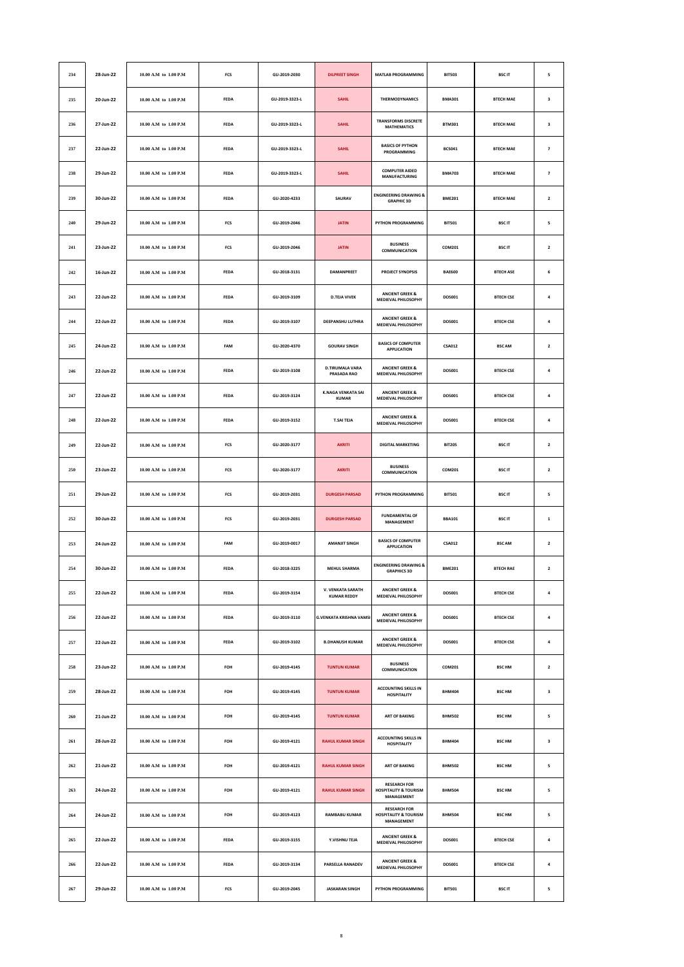| 234         | 28-Jun-22 | 10.00 A.M to 1.00 P.M     | FCS         | GU-2019-2030   | <b>DILPREET SINGH</b>                          | <b>MATLAB PROGRAMMING</b>                                             | <b>BIT503</b> | <b>BSCIT</b>     | 5                       |
|-------------|-----------|---------------------------|-------------|----------------|------------------------------------------------|-----------------------------------------------------------------------|---------------|------------------|-------------------------|
| 235         | 20-Jun-22 | 10.00 A.M to 1.00 P.M     | FEDA        | GU-2019-3323-L | <b>SAHIL</b>                                   | THERMODYNAMICS                                                        | <b>BMA301</b> | <b>BTECH MAE</b> | 3                       |
| 236         | 27-Jun-22 | 10.00 A.M to 1.00 P.M     | FEDA        | GU-2019-3323-L | <b>SAHIL</b>                                   | <b>TRANSFORMS DISCRETE</b><br><b>MATHEMATICS</b>                      | <b>BTM301</b> | <b>BTECH MAE</b> | 3                       |
| 237         | 22-Jun-22 | 10.00 A.M to 1.00 P.M     | <b>FEDA</b> | GU-2019-3323-L | <b>SAHIL</b>                                   | <b>BASICS OF PYTHON</b><br>PROGRAMMING                                | <b>BCS041</b> | <b>BTECH MAE</b> | $\overline{\textbf{z}}$ |
| 238         | 29-Jun-22 | 10.00 A.M to 1.00 P.M     | FEDA        | GU-2019-3323-L | <b>SAHIL</b>                                   | <b>COMPUTER AIDED</b><br><b>MANUFACTURING</b>                         | <b>BMA703</b> | <b>BTECH MAE</b> | $\overline{\textbf{z}}$ |
| 239         | 30-Jun-22 | 10.00 A.M to 1.00 P.M     | FEDA        | GU-2020-4233   | SAURAV                                         | <b>ENGINEERING DRAWING &amp;</b><br><b>GRAPHIC 3D</b>                 | <b>BME201</b> | <b>BTECH MAE</b> | $\mathbf{2}$            |
| 240         | 29-Jun-22 | 10.00 A.M to 1.00 P.M     | FCS         | GU-2019-2046   | <b>JATIN</b>                                   | PYTHON PROGRAMMING                                                    | <b>BIT501</b> | <b>BSCIT</b>     | 5                       |
| 241         | 23-Jun-22 | 10.00 A.M to 1.00 P.M     | FCS         | GU-2019-2046   | <b>JATIN</b>                                   | <b>BUSINESS</b><br>COMMUNICATION                                      | COM201        | <b>BSCIT</b>     | $\mathbf 2$             |
| ${\bf 242}$ | 16-Jun-22 | 10.00 A.M to 1.00 P.M     | FEDA        | GU-2018-3131   | <b>DAMANPREET</b>                              | <b>PROJECT SYNOPSIS</b>                                               | <b>BAE600</b> | <b>BTECH ASE</b> | 6                       |
| 243         | 22-Jun-22 | 10.00 A.M to 1.00 P.M     | <b>FEDA</b> | GU-2019-3109   | <b>D.TEJA VIVEK</b>                            | <b>ANCIENT GREEK &amp;</b><br><b>MEDIEVAL PHILOSOPHY</b>              | DOS001        | <b>BTECH CSE</b> | 4                       |
| 244         | 22-Jun-22 | 10.00 A.M to 1.00 P.M     | FEDA        | GU-2019-3107   | DEEPANSHU LUTHRA                               | <b>ANCIENT GREEK &amp;</b><br><b>MEDIEVAL PHILOSOPHY</b>              | DOS001        | <b>BTECH CSE</b> | $\pmb{4}$               |
| 245         | 24-Jun-22 | 10.00 A.M to 1.00 P.M     | FAM         | GU-2020-4370   | <b>GOURAV SINGH</b>                            | <b>BASICS OF COMPUTER</b><br><b>APPLICATION</b>                       | <b>CSA012</b> | <b>BSC AM</b>    | $\mathbf 2$             |
| 246         | 22-Jun-22 | 10.00 A.M to 1.00 P.M     | <b>FEDA</b> | GU-2019-3108   | <b>D.TIRUMALA VARA</b><br>PRASADA RAO          | <b>ANCIENT GREEK &amp;</b><br>MEDIEVAL PHILOSOPHY                     | <b>DOS001</b> | <b>BTECH CSE</b> | $\overline{a}$          |
| 247         | 22-Jun-22 | 10.00 A.M to 1.00 P.M     | FEDA        | GU-2019-3124   | <b>K.NAGA VENKATA SAI</b><br><b>KUMAR</b>      | <b>ANCIENT GREEK &amp;</b><br><b>MEDIEVAL PHILOSOPHY</b>              | DOS001        | <b>BTECH CSE</b> | $\pmb{4}$               |
| 248         | 22-Jun-22 | 10.00 A.M to 1.00 P.M     | FEDA        | GU-2019-3152   | <b>T.SAI TEJA</b>                              | <b>ANCIENT GREEK &amp;</b><br>MEDIEVAL PHILOSOPHY                     | DOS001        | <b>BTECH CSE</b> | $\pmb{4}$               |
| 249         | 22-Jun-22 | 10.00 A.M to 1.00 P.M     | FCS         | GU-2020-3177   | <b>AKRITI</b>                                  | <b>DIGITAL MARKETING</b>                                              | <b>BIT205</b> | <b>BSCIT</b>     | $\mathbf{2}$            |
| 250         | 23-Jun-22 | 10.00 A.M to 1.00 P.M     | FCS         | GU-2020-3177   | <b>AKRITI</b>                                  | <b>BUSINESS</b><br>COMMUNICATION                                      | COM201        | <b>BSCIT</b>     | $\mathbf 2$             |
| $251\,$     | 29-Jun-22 | 10.00 A.M to 1.00 P.M     | FCS         | GU-2019-2031   | <b>DURGESH PARSAD</b>                          | PYTHON PROGRAMMING                                                    | <b>BIT501</b> | <b>BSCIT</b>     | 5                       |
| 252         | 30-Jun-22 | 10.00 A.M to 1.00 P.M     | FCS         | GU-2019-2031   | <b>DURGESH PARSAD</b>                          | <b>FUNDAMENTAL OF</b><br><b>MANAGEMENT</b>                            | <b>BBA101</b> | <b>BSCIT</b>     | $\mathbf 1$             |
| 253         | 24-Jun-22 | 10.00 A.M to 1.00 P.M     | FAM         | GU-2019-0017   | <b>AMANJIT SINGH</b>                           | <b>BASICS OF COMPUTER</b><br><b>APPLICATION</b>                       | <b>CSA012</b> | <b>BSC AM</b>    | $\mathbf 2$             |
| 254         | 30-Jun-22 | 10.00 A.M to 1.00 P.M     | FEDA        | GU-2018-3225   | <b>MEHUL SHARMA</b>                            | <b>ENGINEERING DRAWING &amp;</b><br><b>GRAPHICS 3D</b>                | <b>BME201</b> | <b>BTECH RAE</b> | $\mathbf{2}$            |
| 255         | 22-Jun-22 | 10.00 A.M to 1.00 P.M     | <b>FEDA</b> | GU-2019-3154   | <b>V. VENKATA SARATH</b><br><b>KUMAR REDDY</b> | <b>ANCIENT GREEK &amp;</b><br>MEDIEVAL PHILOSOPHY                     | <b>DOS001</b> | <b>BTECH CSE</b> | $\pmb{4}$               |
| 256         | 22-Jun-22 | $10.00$ A.M to $1.00$ P.M | FEDA        | GU-2019-3110   | <b>G.VENKATA KRISHNA VAMSI</b>                 | <b>ANCIENT GREEK &amp;</b><br><b>MEDIEVAL PHILOSOPHY</b>              | DOS001        | <b>BTECH CSE</b> | $\pmb{4}$               |
| 257         | 22-Jun-22 | 10.00 A.M to 1.00 P.M     | FEDA        | GU-2019-3102   | <b>B.DHANUSH KUMAR</b>                         | <b>ANCIENT GREEK &amp;</b><br>MEDIEVAL PHILOSOPHY                     | DOS001        | <b>BTECH CSE</b> | $\pmb{4}$               |
| 258         | 23-Jun-22 | 10.00 A.M to 1.00 P.M     | FOH         | GU-2019-4145   | <b>TUNTUN KUMAR</b>                            | <b>BUSINESS</b><br>COMMUNICATION                                      | COM201        | <b>BSC HM</b>    | $\overline{\mathbf{2}}$ |
| 259         | 28-Jun-22 | 10.00 A.M to 1.00 P.M     | FOH         | GU-2019-4145   | <b>TUNTUN KUMAR</b>                            | <b>ACCOUNTING SKILLS IN</b><br><b>HOSPITALITY</b>                     | <b>BHM404</b> | <b>BSC HM</b>    | 3                       |
| 260         | 21-Jun-22 | 10.00 A.M to 1.00 P.M     | FOH         | GU-2019-4145   | <b>TUNTUN KUMAR</b>                            | <b>ART OF BAKING</b>                                                  | <b>BHM502</b> | <b>BSC HM</b>    | 5                       |
| 261         | 28-Jun-22 | 10.00 A.M to 1.00 P.M     | FOH         | GU-2019-4121   | <b>RAHUL KUMAR SINGH</b>                       | <b>ACCOUNTING SKILLS IN</b><br><b>HOSPITALITY</b>                     | <b>BHM404</b> | <b>BSC HM</b>    | 3                       |
| 262         | 21-Jun-22 | 10.00 A.M to 1.00 P.M     | FOH         | GU-2019-4121   | <b>RAHUL KUMAR SINGH</b>                       | <b>ART OF BAKING</b>                                                  | <b>BHM502</b> | <b>BSC HM</b>    | 5                       |
| 263         | 24-Jun-22 | 10.00 A.M to 1.00 P.M     | FOH         | GU-2019-4121   | <b>RAHUL KUMAR SINGH</b>                       | <b>RESEARCH FOR</b><br><b>HOSPITALITY &amp; TOURISM</b><br>MANAGEMENT | <b>BHM504</b> | <b>BSC HM</b>    | 5                       |
| 264         | 24-Jun-22 | 10.00 A.M to 1.00 P.M     | FOH         | GU-2019-4123   | <b>RAMBABU KUMAR</b>                           | <b>RESEARCH FOR</b><br><b>HOSPITALITY &amp; TOURISM</b><br>MANAGEMENT | <b>BHM504</b> | <b>BSC HM</b>    | 5                       |
| 265         | 22-Jun-22 | 10.00 A.M to 1.00 P.M     | <b>FEDA</b> | GU-2019-3155   | Y.VISHNU TEJA                                  | <b>ANCIENT GREEK &amp;</b><br>MEDIEVAL PHILOSOPHY                     | DOS001        | <b>BTECH CSE</b> | 4                       |
| 266         | 22-Jun-22 | 10.00 A.M to 1.00 P.M     | FEDA        | GU-2019-3134   | PARSELLA RANADEV                               | <b>ANCIENT GREEK &amp;</b><br>MEDIEVAL PHILOSOPHY                     | DOS001        | <b>BTECH CSE</b> | $\pmb{4}$               |
| 267         | 29-Jun-22 | 10.00 A.M to 1.00 P.M     | FCS         | GU-2019-2045   | <b>JASKARAN SINGH</b>                          | PYTHON PROGRAMMING                                                    | <b>BIT501</b> | <b>BSCIT</b>     | 5                       |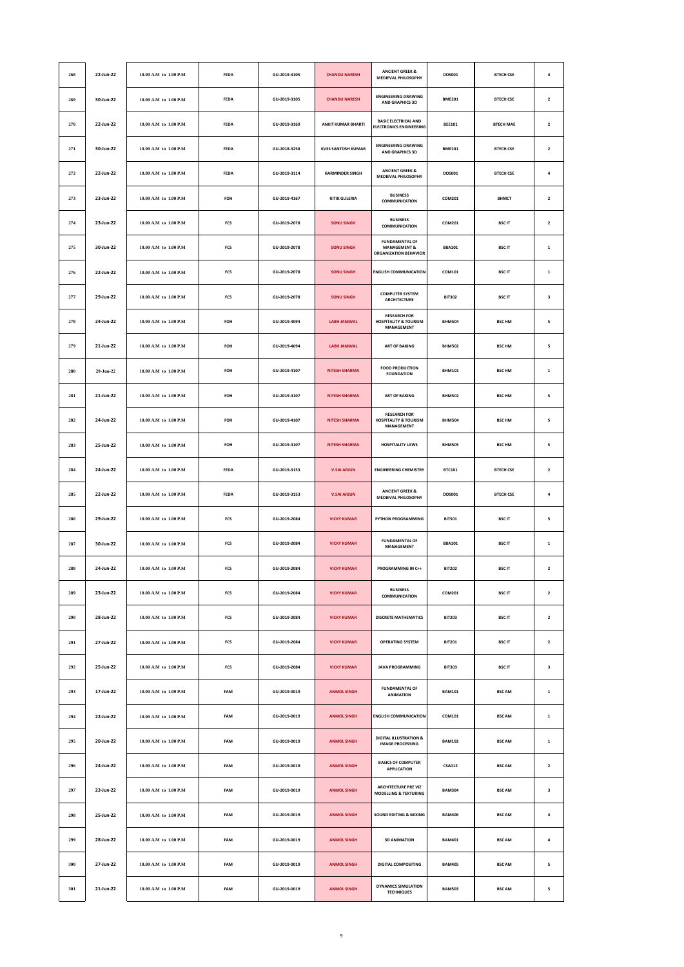| 268         | 22-Jun-22 | 10.00 A.M to 1.00 P.M     | <b>FEDA</b> | GU-2019-3105 | <b>CHANDU NARESH</b>      | <b>ANCIENT GREEK &amp;</b><br><b>MEDIEVAL PHILOSOPHY</b>                         | DOS001        | <b>BTFCH CSF</b> | 4                       |
|-------------|-----------|---------------------------|-------------|--------------|---------------------------|----------------------------------------------------------------------------------|---------------|------------------|-------------------------|
| 269         | 30-Jun-22 | 10.00 A.M to 1.00 P.M     | <b>FEDA</b> | GU-2019-3105 | <b>CHANDU NARESH</b>      | <b>ENGINEERING DRAWING</b><br>AND GRAPHICS 3D                                    | <b>BME201</b> | <b>BTECH CSE</b> | $\overline{\mathbf{2}}$ |
| 270         | 22-Jun-22 | 10.00 A.M to 1.00 P.M     | FEDA        | GU-2019-3169 | <b>ANKIT KUMAR BHARTI</b> | <b>BASIC ELECTRICAL AND</b><br><b>ELECTRONICS ENGINEERING</b>                    | <b>BEE101</b> | <b>BTECH MAE</b> | $\overline{\mathbf{2}}$ |
| 271         | 30-Jun-22 | 10.00 A.M to 1.00 P.M     | <b>FEDA</b> | GU-2018-3258 | <b>KVSS SANTOSH KUMAR</b> | <b>ENGINEERING DRAWING</b><br>AND GRAPHICS 3D                                    | <b>BME201</b> | <b>BTFCH CSF</b> | $\overline{\mathbf{2}}$ |
| 272         | 22-Jun-22 | 10.00 A.M to 1.00 P.M     | <b>FEDA</b> | GU-2019-3114 | <b>HARMINDER SINGH</b>    | <b>ANCIENT GREEK &amp;</b><br><b>MEDIEVAL PHILOSOPHY</b>                         | DOS001        | <b>BTECH CSE</b> | 4                       |
| 273         | 23-Jun-22 | 10.00 A.M to 1.00 P.M     | FOH         | GU-2019-4167 | <b>RITIK GULERIA</b>      | <b>BUSINESS</b><br>COMMUNICATION                                                 | COM201        | <b>BHMCT</b>     | $\overline{\mathbf{2}}$ |
| 274         | 23-Jun-22 | 10.00 A.M to 1.00 P.M     | FCS         | GU-2019-2078 | <b>SONU SINGH</b>         | <b>BUSINESS</b><br>COMMUNICATION                                                 | COM201        | <b>BSCIT</b>     | $\overline{\mathbf{2}}$ |
| 275         | 30-Jun-22 | 10.00 A.M to 1.00 P.M     | FCS         | GU-2019-2078 | <b>SONU SINGH</b>         | <b>FUNDAMENTAL OF</b><br><b>MANAGEMENT &amp;</b><br><b>ORGANIZATION BEHAVIOR</b> | <b>BBA101</b> | <b>BSCIT</b>     | $\,$ 1                  |
| 276         | 22-Jun-22 | 10.00 A.M to 1.00 P.M     | FCS         | GU-2019-2078 | <b>SONU SINGH</b>         | <b>ENGLISH COMMUNICATION</b>                                                     | COM101        | <b>BSCIT</b>     | $\,$ 1                  |
| 277         | 29-Jun-22 | $10.00$ A.M to $1.00$ P.M | FCS         | GU-2019-2078 | <b>SONU SINGH</b>         | <b>COMPUTER SYSTEM</b><br><b>ARCHITECTURE</b>                                    | <b>BIT302</b> | <b>BSCIT</b>     | 3                       |
| 278         | 24-Jun-22 | 10.00 A.M to 1.00 P.M     | FOH         | GU-2019-4094 | LABH JAMWAL               | <b>RESEARCH FOR</b><br><b>HOSPITALITY &amp; TOURISM</b><br>MANAGEMENT            | <b>BHM504</b> | <b>BSC HM</b>    | 5                       |
| 279         | 21-Jun-22 | 10.00 A.M to 1.00 P.M     | FOH         | GU-2019-4094 | LABH JAMWAL               | <b>ART OF BAKING</b>                                                             | <b>BHM502</b> | <b>BSC HM</b>    | 5                       |
| 280         | 29-Jun-22 | 10.00 A.M to 1.00 P.M     | FOH         | GU-2019-4107 | <b>NITESH SHARMA</b>      | <b>FOOD PRODUCTION</b><br><b>FOUNDATION</b>                                      | <b>BHM101</b> | <b>BSC HM</b>    | $\mathbf 1$             |
| 281         | 21-Jun-22 | 10.00 A.M to 1.00 P.M     | FOH         | GU-2019-4107 | <b>NITESH SHARMA</b>      | <b>ART OF BAKING</b>                                                             | <b>BHM502</b> | <b>BSC HM</b>    | 5                       |
| 282         | 24-Jun-22 | 10.00 A.M to 1.00 P.M     | FOH         | GU-2019-4107 | <b>NITESH SHARMA</b>      | <b>RESEARCH FOR</b><br><b>HOSPITALITY &amp; TOURISM</b><br>MANAGEMENT            | <b>BHM504</b> | <b>BSC HM</b>    | 5                       |
| 283         | 25-Jun-22 | 10.00 A.M to 1.00 P.M     | FOH         | GU-2019-4107 | <b>NITESH SHARMA</b>      | <b>HOSPITALITY LAWS</b>                                                          | <b>BHM505</b> | <b>BSC HM</b>    | 5                       |
| 284         | 24-Jun-22 | 10.00 A.M to 1.00 P.M     | <b>FEDA</b> | GU-2019-3153 | <b>V.SAI ARJUN</b>        | <b>ENGINEERING CHEMISTRY</b>                                                     | <b>BTC101</b> | <b>BTECH CSE</b> | $\mathbf 2$             |
| 285         | 22-Jun-22 | 10.00 A.M to 1.00 P.M     | FEDA        | GU-2019-3153 | <b>V.SAI ARJUN</b>        | <b>ANCIENT GREEK &amp;</b><br><b>MEDIEVAL PHILOSOPHY</b>                         | DOS001        | <b>BTECH CSE</b> | 4                       |
| 286         | 29-Jun-22 | 10.00 A.M to 1.00 P.M     | FCS         | GU-2019-2084 | <b>VICKY KUMAR</b>        | PYTHON PROGRAMMING                                                               | <b>BIT501</b> | <b>BSCIT</b>     | 5                       |
| 287         | 30-Jun-22 | 10.00 A.M to 1.00 P.M     | FCS         | GU-2019-2084 | <b>VICKY KUMAR</b>        | <b>FUNDAMENTAL OF</b><br>MANAGEMENT                                              | <b>BBA101</b> | <b>BSCIT</b>     | $\,$ 1                  |
| 288         | 24-Jun-22 | 10.00 A.M to 1.00 P.M     | FCS         | GU-2019-2084 | <b>VICKY KUMAR</b>        | PROGRAMMING IN C++                                                               | <b>BIT202</b> | <b>BSCIT</b>     | $\overline{\mathbf{2}}$ |
| 289         | 23-Jun-22 | 10.00 A.M to 1.00 P.M     | FCS         | GU-2019-2084 | <b>VICKY KUMAR</b>        | <b>BUSINESS</b><br>COMMUNICATION                                                 | COM201        | <b>BSCIT</b>     | $\mathbf{2}$            |
| 290         | 28-Jun-22 | 10.00 A.M to 1.00 P.M     | FCS         | GU-2019-2084 | <b>VICKY KUMAR</b>        | <b>DISCRETE MATHEMATICS</b>                                                      | <b>BIT203</b> | <b>BSCIT</b>     | $\overline{\mathbf{z}}$ |
| 291         | 27-Jun-22 | 10.00 A.M to 1.00 P.M     | FCS         | GU-2019-2084 | <b>VICKY KUMAR</b>        | <b>OPERATING SYSTEM</b>                                                          | <b>BIT201</b> | <b>BSCIT</b>     | $\overline{\mathbf{2}}$ |
| ${\bf 292}$ | 25-Jun-22 | 10.00 A.M to 1.00 P.M     | FCS         | GU-2019-2084 | <b>VICKY KUMAR</b>        | <b>JAVA PROGRAMMING</b>                                                          | <b>BIT303</b> | <b>BSCIT</b>     | $\mathbf 3$             |
| 293         | 17-Jun-22 | 10.00 A.M to 1.00 P.M     | FAM         | GU-2019-0019 | <b>ANMOL SINGH</b>        | <b>FUNDAMENTAL OF</b><br><b>ANIMATION</b>                                        | <b>BAM101</b> | <b>BSC AM</b>    | $\mathbf{1}$            |
| 294         | 22-Jun-22 | $10.00$ A.M to $1.00$ P.M | FAM         | GU-2019-0019 | <b>ANMOL SINGH</b>        | <b>ENGLISH COMMUNICATION</b>                                                     | COM101        | <b>BSC AM</b>    | $\mathbf 1$             |
| 295         | 20-Jun-22 | 10.00 A.M to 1.00 P.M     | FAM         | GU-2019-0019 | <b>ANMOL SINGH</b>        | <b>DIGITAL ILLUSTRATION &amp;</b><br><b>IMAGE PROCESSING</b>                     | <b>BAM102</b> | <b>BSC AM</b>    | $\,$ 1                  |
| 296         | 24-Jun-22 | 10.00 A.M to 1.00 P.M     | FAM         | GU-2019-0019 | <b>ANMOL SINGH</b>        | <b>BASICS OF COMPUTER</b><br><b>APPLICATION</b>                                  | <b>CSA012</b> | <b>BSC AM</b>    | $\mathbf{2}$            |
| 297         | 23-Jun-22 | $10.00$ A.M to $1.00$ P.M | FAM         | GU-2019-0019 | <b>ANMOL SINGH</b>        | <b>ARCHITECTURE PRE VIZ</b><br><b>MODELLING &amp; TEXTURING</b>                  | <b>BAM304</b> | <b>BSC AM</b>    | 3                       |
| 298         | 25-Jun-22 | 10.00 A.M to 1.00 P.M     | FAM         | GU-2019-0019 | <b>ANMOL SINGH</b>        | <b>SOUND EDITING &amp; MIXING</b>                                                | <b>BAM406</b> | <b>BSC AM</b>    | $\pmb{4}$               |
| 299         | 28-Jun-22 | 10.00 A.M to 1.00 P.M     | FAM         | GU-2019-0019 | <b>ANMOL SINGH</b>        | <b>3D ANIMATION</b>                                                              | <b>BAM401</b> | <b>BSC AM</b>    | $\pmb{4}$               |
| 300         | 27-Jun-22 | 10.00 A.M to 1.00 P.M     | FAM         | GU-2019-0019 | <b>ANMOL SINGH</b>        | DIGITAL COMPOSITING                                                              | <b>BAM405</b> | <b>BSC AM</b>    | 5                       |
| 301         | 21-Jun-22 | 10.00 A.M to 1.00 P.M     | FAM         | GU-2019-0019 | <b>ANMOL SINGH</b>        | <b>DYNAMICS SIMULATION</b><br><b>TECHNIQUES</b>                                  | <b>BAM503</b> | <b>BSC AM</b>    | 5                       |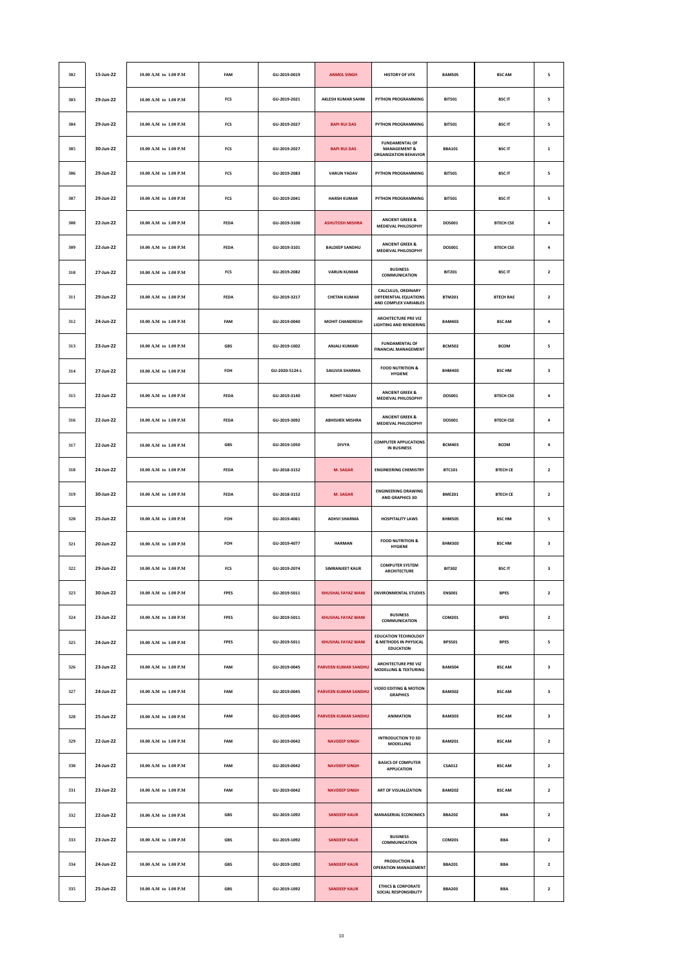| 302 | 15-Jun-22 | 10.00 A.M to 1.00 P.M     | FAM         | GU-2019-0019   | <b>ANMOL SINGH</b>          | <b>HISTORY OF VFX</b>                                                            | <b>BAM505</b> | <b>BSC AM</b>    | 5                       |
|-----|-----------|---------------------------|-------------|----------------|-----------------------------|----------------------------------------------------------------------------------|---------------|------------------|-------------------------|
| 303 | 29-Jun-22 | 10.00 A.M to 1.00 P.M     | FCS         | GU-2019-2021   | AKLESH KUMAR SAHNI          | PYTHON PROGRAMMING                                                               | <b>BIT501</b> | <b>BSCIT</b>     | 5                       |
| 304 | 29-Jun-22 | 10.00 A.M to 1.00 P.M     | FCS         | GU-2019-2027   | <b>BAPI RUI DAS</b>         | PYTHON PROGRAMMING                                                               | <b>BIT501</b> | <b>BSCIT</b>     | 5                       |
| 305 | 30-Jun-22 | 10.00 A.M to 1.00 P.M     | FCS         | GU-2019-2027   | <b>BAPI RUI DAS</b>         | <b>FUNDAMENTAL OF</b><br><b>MANAGEMENT &amp;</b><br><b>ORGANIZATION BEHAVIOR</b> | <b>BBA101</b> | <b>BSCIT</b>     | $\mathbf 1$             |
| 306 | 29-Jun-22 | 10.00 A.M to 1.00 P.M     | FCS         | GU-2019-2083   | <b>VARUN YADAV</b>          | PYTHON PROGRAMMING                                                               | <b>BIT501</b> | <b>BSCIT</b>     | 5                       |
| 307 | 29-Jun-22 | 10.00 A.M to 1.00 P.M     | FCS         | GU-2019-2041   | <b>HARSH KUMAR</b>          | PYTHON PROGRAMMING                                                               | <b>BIT501</b> | <b>BSCIT</b>     | 5                       |
| 308 | 22-Jun-22 | 10.00 A.M to 1.00 P.M     | <b>FEDA</b> | GU-2019-3100   | <b>ASHUTOSH MISHRA</b>      | <b>ANCIENT GREEK &amp;</b><br><b>MEDIEVAL PHILOSOPHY</b>                         | DOS001        | <b>BTECH CSE</b> | 4                       |
| 309 | 22-Jun-22 | 10.00 A.M to 1.00 P.M     | FEDA        | GU-2019-3101   | <b>BALDEEP SANDHU</b>       | <b>ANCIENT GREEK &amp;</b><br><b>MEDIEVAL PHILOSOPHY</b>                         | DOS001        | <b>BTECH CSE</b> | $\pmb{4}$               |
| 310 | 27-Jun-22 | 10.00 A.M to 1.00 P.M     | FCS         | GU-2019-2082   | <b>VARUN KUMAR</b>          | <b>BUSINESS</b><br>COMMUNICATION                                                 | <b>BIT201</b> | <b>BSCIT</b>     | $\mathbf{2}$            |
| 311 | 29-Jun-22 | 10.00 A.M to 1.00 P.M     | <b>FEDA</b> | GU-2019-3217   | <b>CHETAN KUMAR</b>         | CALCULUS, ORDINARY<br>DIFFERENTIAL EQUATIONS<br>AND COMPLEX VARIABLES            | <b>BTM201</b> | <b>BTECH RAE</b> | $\overline{\mathbf{2}}$ |
| 312 | 24-Jun-22 | 10.00 A.M to 1.00 P.M     | FAM         | GU-2019-0040   | MOHIT CHANDRESH             | <b>ARCHITECTURE PRE VIZ</b><br><b>LIGHTING AND RENDERING</b>                     | <b>BAM403</b> | <b>BSC AM</b>    | $\pmb{4}$               |
| 313 | 23-Jun-22 | $10.00$ A.M to $1.00$ P.M | GBS         | GU-2019-1002   | <b>ANJALI KUMARI</b>        | <b>FUNDAMENTAL OF</b><br><b>FINANCIAL MANAGEMENT</b>                             | <b>BCM502</b> | <b>BCOM</b>      | 5                       |
| 314 | 27-Jun-22 | 10.00 A.M to 1.00 P.M     | FOH         | GU-2020-5124-L | SAILIVIA SHARMA             | <b>FOOD NUTRITION &amp;</b><br><b>HYGIENE</b>                                    | <b>BHM403</b> | <b>BSC HM</b>    | 3                       |
| 315 | 22-Jun-22 | 10.00 A.M to 1.00 P.M     | FEDA        | GU-2019-3140   | <b>ROHIT YADAV</b>          | <b>ANCIENT GREEK &amp;</b><br>MEDIEVAL PHILOSOPHY                                | DOS001        | <b>BTECH CSE</b> | $\pmb{4}$               |
| 316 | 22-Jun-22 | 10.00 A.M to 1.00 P.M     | FEDA        | GU-2019-3092   | <b>ABHISHEK MISHRA</b>      | <b>ANCIENT GREEK &amp;</b><br>MEDIEVAL PHILOSOPHY                                | DOS001        | <b>BTECH CSE</b> | $\pmb{4}$               |
| 317 | 22-Jun-22 | 10.00 A.M to 1.00 P.M     | <b>GBS</b>  | GU-2019-1050   | <b>DIVYA</b>                | <b>COMPUTER APPLICATIONS</b><br><b>IN BUSINESS</b>                               | <b>BCM403</b> | <b>BCOM</b>      | $\overline{a}$          |
| 318 | 24-Jun-22 | 10.00 A.M to 1.00 P.M     | FEDA        | GU-2018-3152   | M. SAGAR                    | <b>ENGINEERING CHEMISTRY</b>                                                     | <b>BTC101</b> | <b>BTECH CE</b>  | $\mathbf 2$             |
| 319 | 30-Jun-22 | 10.00 A.M to 1.00 P.M     | FEDA        | GU-2018-3152   | <b>M. SAGAR</b>             | <b>ENGINEERING DRAWING</b><br><b>AND GRAPHICS 3D</b>                             | <b>BME201</b> | <b>BTECH CE</b>  | $\mathbf 2$             |
| 320 | 25-Jun-22 | 10.00 A.M to 1.00 P.M     | FOH         | GU-2019-4061   | <b>ADHVI SHARMA</b>         | <b>HOSPITALITY LAWS</b>                                                          | <b>BHM505</b> | <b>BSC HM</b>    | 5                       |
| 321 | 20-Jun-22 | 10.00 A.M to 1.00 P.M     | FOH         | GU-2019-4077   | <b>HARMAN</b>               | <b>FOOD NUTRITION &amp;</b><br><b>HYGIENE</b>                                    | <b>BHM303</b> | <b>BSC HM</b>    | 3                       |
| 322 | 29-Jun-22 | 10.00 A.M to 1.00 P.M     | FCS         | GU-2019-2074   | <b>SIMRANJEET KAUR</b>      | <b>COMPUTER SYSTEM</b><br><b>ARCHITECTURE</b>                                    | <b>BIT302</b> | <b>BSCIT</b>     | 3                       |
| 323 | 30-Jun-22 | 10.00 A.M to 1.00 P.M     | <b>FPES</b> | GU-2019-5011   | <b>KHUSHAL FAYAZ WANI</b>   | <b>ENVIRONMENTAL STUDIES</b>                                                     | <b>ENS001</b> | <b>BPES</b>      | $\overline{\mathbf{2}}$ |
| 324 | 23-Jun-22 | 10.00 A.M to 1.00 P.M     | FPES        | GU-2019-5011   | KHUSHAL FAYAZ WANI          | <b>BUSINESS</b><br>COMMUNICATION                                                 | COM201        | <b>BPES</b>      | $\mathbf{2}$            |
| 325 | 24-Jun-22 | 10.00 A.M to 1.00 P.M     | FPES        | GU-2019-5011   | <b>KHUSHAL FAYAZ WANI</b>   | <b>EDUCATION TECHNOLOGY</b><br>& METHODS IN PHYSICAL<br><b>EDUCATION</b>         | <b>BPS501</b> | <b>BPES</b>      | 5                       |
| 326 | 23-Jun-22 | 10.00 A.M to 1.00 P.M     | FAM         | GU-2019-0045   | <b>PARVEEN KUMAR SANDHU</b> | <b>ARCHITECTURE PRE VIZ</b><br><b>MODELLING &amp; TEXTURING</b>                  | <b>BAM304</b> | <b>BSC AM</b>    | 3                       |
| 327 | 24-Jun-22 | 10.00 A.M to 1.00 P.M     | FAM         | GU-2019-0045   | <b>PARVEEN KUMAR SANDHU</b> | <b>VIDEO EDITING &amp; MOTION</b><br><b>GRAPHICS</b>                             | <b>BAM302</b> | <b>BSC AM</b>    | 3                       |
| 328 | 25-Jun-22 | $10.00$ A.M to $1.00$ P.M | FAM         | GU-2019-0045   | PARVEEN KUMAR SANDHU        | <b>ANIMATION</b>                                                                 | <b>BAM303</b> | <b>BSC AM</b>    | 3                       |
| 329 | 22-Jun-22 | 10.00 A.M to 1.00 P.M     | FAM         | GU-2019-0042   | <b>NAVDEEP SINGH</b>        | <b>INTRODUCTION TO 3D</b><br>MODELLING                                           | <b>BAM201</b> | <b>BSC AM</b>    | $\overline{\mathbf{2}}$ |
| 330 | 24-Jun-22 | 10.00 A.M to 1.00 P.M     | FAM         | GU-2019-0042   | <b>NAVDEEP SINGH</b>        | <b>BASICS OF COMPUTER</b><br><b>APPLICATION</b>                                  | <b>CSA012</b> | <b>BSC AM</b>    | $\overline{\mathbf{z}}$ |
| 331 | 23-Jun-22 | 10.00 A.M to 1.00 P.M     | FAM         | GU-2019-0042   | <b>NAVDEEP SINGH</b>        | <b>ART OF VISUALIZATION</b>                                                      | <b>BAM202</b> | <b>BSC AM</b>    | $\overline{\mathbf{2}}$ |
| 332 | 22-Jun-22 | 10.00 A.M to 1.00 P.M     | <b>GBS</b>  | GU-2019-1092   | <b>SANDEEP KAUR</b>         | <b>MANAGERIAL ECONOMICS</b>                                                      | <b>BBA202</b> | <b>BBA</b>       | $\overline{\mathbf{2}}$ |
| 333 | 23-Jun-22 | 10.00 A.M to 1.00 P.M     | GBS         | GU-2019-1092   | <b>SANDEEP KAUR</b>         | <b>BUSINESS</b><br>COMMUNICATION                                                 | COM201        | <b>BBA</b>       | $\overline{\mathbf{2}}$ |
| 334 | 24-Jun-22 | 10.00 A.M to 1.00 P.M     | GBS         | GU-2019-1092   | <b>SANDEEP KAUR</b>         | <b>PRODUCTION &amp;</b><br><b>OPERATION MANAGEMENT</b>                           | <b>BBA201</b> | <b>BBA</b>       | $\overline{\mathbf{2}}$ |
| 335 | 25-Jun-22 | 10.00 A.M to 1.00 P.M     | <b>GBS</b>  | GU-2019-1092   | <b>SANDEEP KAUR</b>         | <b>ETHICS &amp; CORPORATE</b><br>SOCIAL RESPONSIBILITY                           | <b>BBA203</b> | <b>BBA</b>       | $\overline{\mathbf{2}}$ |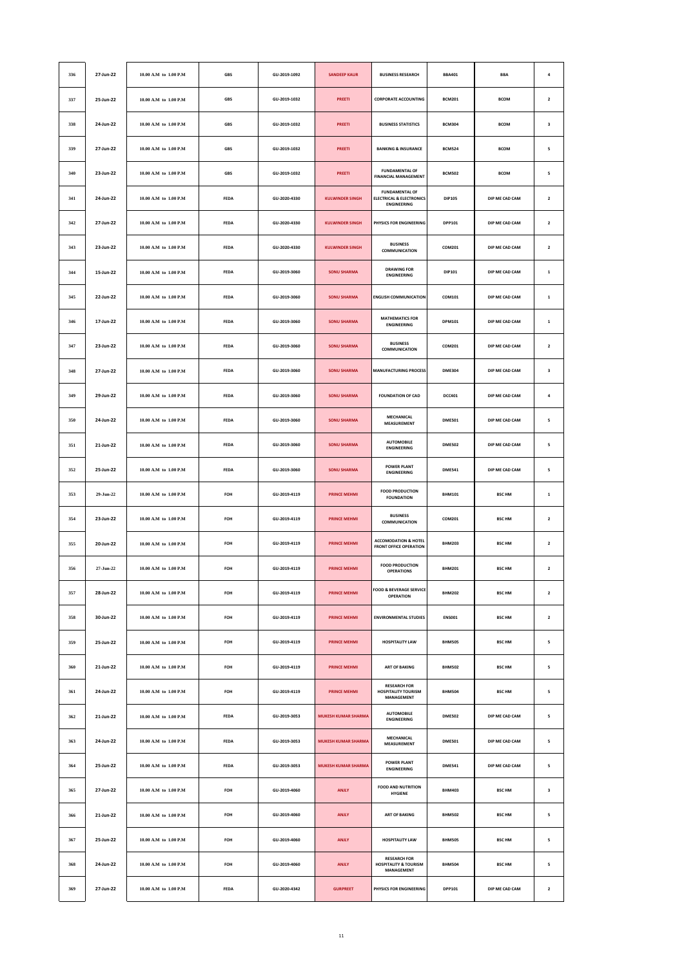| 336 | 27-Jun-22 | 10.00 A.M to 1.00 P.M     | GBS         | GU-2019-1092 | <b>SANDEEP KAUR</b>        | <b>BUSINESS RESEARCH</b>                                                           | <b>BBA401</b> | <b>BBA</b>     | $\overline{\mathbf{a}}$ |
|-----|-----------|---------------------------|-------------|--------------|----------------------------|------------------------------------------------------------------------------------|---------------|----------------|-------------------------|
| 337 | 25-Jun-22 | 10.00 A.M to 1.00 P.M     | GBS         | GU-2019-1032 | PREETI                     | <b>CORPORATE ACCOUNTING</b>                                                        | <b>BCM201</b> | <b>BCOM</b>    | $\mathbf{2}$            |
| 338 | 24-Jun-22 | 10.00 A.M to 1.00 P.M     | GBS         | GU-2019-1032 | PREETI                     | <b>BUSINESS STATISTICS</b>                                                         | <b>BCM304</b> | <b>BCOM</b>    | 3                       |
| 339 | 27-Jun-22 | 10.00 A.M to 1.00 P.M     | GBS         | GU-2019-1032 | PREETI                     | <b>BANKING &amp; INSURANCE</b>                                                     | <b>BCM524</b> | <b>BCOM</b>    | 5                       |
| 340 | 23-Jun-22 | 10.00 A.M to 1.00 P.M     | GBS         | GU-2019-1032 | PREETI                     | <b>FUNDAMENTAL OF</b><br><b>FINANCIAL MANAGEMENT</b>                               | <b>BCM502</b> | <b>BCOM</b>    | 5                       |
| 341 | 24-Jun-22 | 10.00 A.M to 1.00 P.M     | FEDA        | GU-2020-4330 | <b>KULWINDER SINGH</b>     | <b>FUNDAMENTAL OF</b><br><b>ELECTRICAL &amp; ELECTRONICS</b><br><b>ENGINEERING</b> | <b>DIP105</b> | DIP ME CAD CAM | $\mathbf 2$             |
| 342 | 27-Jun-22 | 10.00 A.M to 1.00 P.M     | <b>FEDA</b> | GU-2020-4330 | <b>KULWINDER SINGH</b>     | PHYSICS FOR ENGINEERING                                                            | <b>DPP101</b> | DIP ME CAD CAM | $\overline{\mathbf{2}}$ |
| 343 | 23-Jun-22 | 10.00 A.M to 1.00 P.M     | FEDA        | GU-2020-4330 | <b>KULWINDER SINGH</b>     | <b>BUSINESS</b><br>COMMUNICATION                                                   | COM201        | DIP ME CAD CAM | $\mathbf 2$             |
| 344 | 15-Jun-22 | 10.00 A.M to 1.00 P.M     | FEDA        | GU-2019-3060 | <b>SONU SHARMA</b>         | <b>DRAWING FOR</b><br><b>ENGINEERING</b>                                           | DIP101        | DIP ME CAD CAM | $\mathbf 1$             |
| 345 | 22-Jun-22 | 10.00 A.M to 1.00 P.M     | <b>FEDA</b> | GU-2019-3060 | <b>SONU SHARMA</b>         | <b>ENGLISH COMMUNICATION</b>                                                       | COM101        | DIP ME CAD CAM | $\mathbf 1$             |
| 346 | 17-Jun-22 | 10.00 A.M to 1.00 P.M     | FEDA        | GU-2019-3060 | <b>SONU SHARMA</b>         | <b>MATHEMATICS FOR</b><br><b>ENGINEERING</b>                                       | DPM101        | DIP ME CAD CAM | $\mathbf 1$             |
| 347 | 23-Jun-22 | $10.00$ A.M to $1.00$ P.M | FEDA        | GU-2019-3060 | <b>SONU SHARMA</b>         | <b>BUSINESS</b><br>COMMUNICATION                                                   | COM201        | DIP ME CAD CAM | $\mathbf 2$             |
| 348 | 27-Jun-22 | 10.00 A.M to 1.00 P.M     | <b>FEDA</b> | GU-2019-3060 | <b>SONU SHARMA</b>         | <b>MANUFACTURING PROCESS</b>                                                       | <b>DME304</b> | DIP ME CAD CAM | 3                       |
| 349 | 29-Jun-22 | 10.00 A.M to 1.00 P.M     | FEDA        | GU-2019-3060 | <b>SONU SHARMA</b>         | <b>FOUNDATION OF CAD</b>                                                           | <b>DCC401</b> | DIP ME CAD CAM | $\pmb{4}$               |
| 350 | 24-Jun-22 | 10.00 A.M to 1.00 P.M     | FEDA        | GU-2019-3060 | <b>SONU SHARMA</b>         | MECHANICAL<br>MEASUREMENT                                                          | <b>DME501</b> | DIP ME CAD CAM | 5                       |
| 351 | 21-Jun-22 | 10.00 A.M to 1.00 P.M     | <b>FEDA</b> | GU-2019-3060 | <b>SONU SHARMA</b>         | <b>AUTOMOBILE</b><br><b>ENGINEERING</b>                                            | <b>DME502</b> | DIP ME CAD CAM | 5                       |
| 352 | 25-Jun-22 | 10.00 A.M to 1.00 P.M     | FEDA        | GU-2019-3060 | <b>SONU SHARMA</b>         | <b>POWER PLANT</b><br><b>ENGINEERING</b>                                           | <b>DME541</b> | DIP ME CAD CAM | 5                       |
| 353 | 29-Jun-22 | 10.00 A.M to 1.00 P.M     | FOH         | GU-2019-4119 | <b>PRINCE MEHMI</b>        | <b>FOOD PRODUCTION</b><br><b>FOUNDATION</b>                                        | <b>BHM101</b> | <b>BSC HM</b>  | $\mathbf 1$             |
| 354 | 23-Jun-22 | 10.00 A.M to 1.00 P.M     | FOH         | GU-2019-4119 | <b>PRINCE MEHMI</b>        | <b>BUSINESS</b><br>COMMUNICATION                                                   | COM201        | <b>BSC HM</b>  | $\mathbf{2}$            |
| 355 | 20-Jun-22 | 10.00 A.M to 1.00 P.M     | FOH         | GU-2019-4119 | <b>PRINCE MEHMI</b>        | <b>ACCOMODATION &amp; HOTEL</b><br><b>FRONT OFFICE OPERATION</b>                   | <b>BHM203</b> | <b>BSC HM</b>  | $\mathbf 2$             |
| 356 | 27-Jun-22 | 10.00 A.M to 1.00 P.M     | FOH         | GU-2019-4119 | <b>PRINCE MEHMI</b>        | <b>FOOD PRODUCTION</b><br><b>OPERATIONS</b>                                        | <b>BHM201</b> | <b>BSC HM</b>  | $\mathbf{2}$            |
| 357 | 28-Jun-22 | 10.00 A.M to 1.00 P.M     | FOH         | GU-2019-4119 | <b>PRINCE MEHMI</b>        | <b>FOOD &amp; BEVERAGE SERVICE</b><br><b>OPERATION</b>                             | <b>BHM202</b> | <b>BSC HM</b>  | $\overline{\mathbf{2}}$ |
| 358 | 30-Jun-22 | 10.00 A.M to 1.00 P.M     | FOH         | GU-2019-4119 | <b>PRINCE MEHMI</b>        | <b>ENVIRONMENTAL STUDIES</b>                                                       | <b>ENS001</b> | <b>BSC HM</b>  | $\mathbf{2}$            |
| 359 | 25-Jun-22 | $10.00$ A.M to $1.00$ P.M | FOH         | GU-2019-4119 | <b>PRINCE MEHMI</b>        | <b>HOSPITALITY LAW</b>                                                             | <b>BHM505</b> | <b>BSC HM</b>  | 5                       |
| 360 | 21-Jun-22 | 10.00 A.M to 1.00 P.M     | FOH         | GU-2019-4119 | <b>PRINCE MEHMI</b>        | <b>ART OF BAKING</b>                                                               | <b>BHM502</b> | <b>BSC HM</b>  | 5                       |
| 361 | 24-Jun-22 | 10.00 A.M to 1.00 P.M     | FOH         | GU-2019-4119 | PRINCE MEHMI               | <b>RESEARCH FOR</b><br><b>HOSPITALITY TOURISM</b><br>MANAGEMENT                    | <b>BHM504</b> | <b>BSC HM</b>  | 5                       |
| 362 | 21-Jun-22 | $10.00$ A.M to $1.00$ P.M | FEDA        | GU-2019-3053 | <b>MUKESH KUMAR SHARMA</b> | <b>AUTOMOBILE</b><br><b>ENGINEERING</b>                                            | <b>DME502</b> | DIP ME CAD CAM | 5                       |
| 363 | 24-Jun-22 | 10.00 A.M to 1.00 P.M     | <b>FEDA</b> | GU-2019-3053 | <b>MUKESH KUMAR SHARMA</b> | MECHANICAL<br>MEASUREMENT                                                          | <b>DME501</b> | DIP ME CAD CAM | 5                       |
| 364 | 25-Jun-22 | 10.00 A.M to 1.00 P.M     | <b>FEDA</b> | GU-2019-3053 | MUKESH KUMAR SHARMA        | <b>POWER PLANT</b><br><b>ENGINEERING</b>                                           | <b>DME541</b> | DIP ME CAD CAM | 5                       |
| 365 | 27-Jun-22 | 10.00 A.M to 1.00 P.M     | FOH         | GU-2019-4060 | <b>ANJLY</b>               | <b>FOOD AND NUTRITION</b><br>HYGIENE                                               | <b>BHM403</b> | <b>BSC HM</b>  | 3                       |
| 366 | 21-Jun-22 | 10.00 A.M to 1.00 P.M     | FOH         | GU-2019-4060 | <b>ANJLY</b>               | <b>ART OF BAKING</b>                                                               | <b>BHM502</b> | <b>BSC HM</b>  | 5                       |
| 367 | 25-Jun-22 | 10.00 A.M to 1.00 P.M     | FOH         | GU-2019-4060 | <b>ANJLY</b>               | <b>HOSPITALITY LAW</b>                                                             | <b>BHM505</b> | <b>BSC HM</b>  | 5                       |
| 368 | 24-Jun-22 | 10.00 A.M to 1.00 P.M     | FOH         | GU-2019-4060 | <b>ANJLY</b>               | <b>RESEARCH FOR</b><br><b>HOSPITALITY &amp; TOURISM</b><br>MANAGEMENT              | <b>BHM504</b> | <b>BSC HM</b>  | 5                       |
| 369 | 27-Jun-22 | 10.00 A.M to 1.00 P.M     | <b>FEDA</b> | GU-2020-4342 | <b>GURPREET</b>            | PHYSICS FOR ENGINEERING                                                            | DPP101        | DIP ME CAD CAM | $\overline{\mathbf{2}}$ |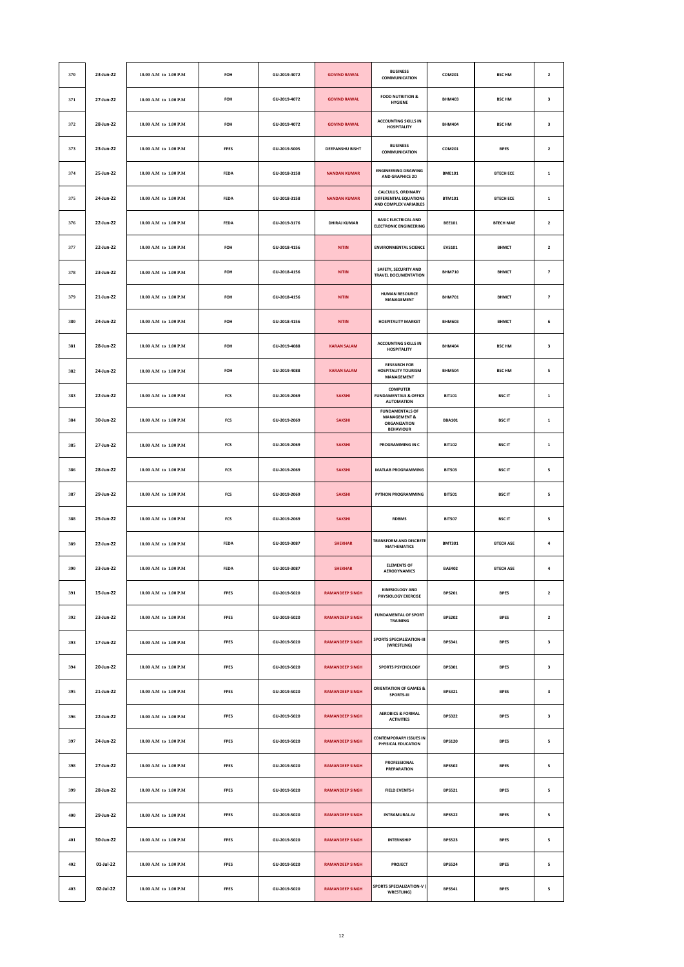| 370 | 23-Jun-22 | 10.00 A.M to 1.00 P.M     | FOH         | GU-2019-4072 | <b>GOVIND RAWAL</b>    | <b>BUSINESS</b><br>COMMUNICATION                                                      | COM201        | <b>BSC HM</b>    | $\overline{\mathbf{2}}$ |
|-----|-----------|---------------------------|-------------|--------------|------------------------|---------------------------------------------------------------------------------------|---------------|------------------|-------------------------|
| 371 | 27-Jun-22 | 10.00 A.M to 1.00 P.M     | FOH         | GU-2019-4072 | <b>GOVIND RAWAL</b>    | <b>FOOD NUTRITION &amp;</b><br><b>HYGIENE</b>                                         | <b>BHM403</b> | <b>BSC HM</b>    | 3                       |
| 372 | 28-Jun-22 | 10.00 A.M to 1.00 P.M     | FOH         | GU-2019-4072 | <b>GOVIND RAWAL</b>    | <b>ACCOUNTING SKILLS IN</b><br><b>HOSPITALITY</b>                                     | <b>BHM404</b> | <b>BSC HM</b>    | 3                       |
| 373 | 23-Jun-22 | 10.00 A.M to 1.00 P.M     | <b>FPES</b> | GU-2019-5005 | <b>DEEPANSHU BISHT</b> | <b>BUSINESS</b><br>COMMUNICATION                                                      | COM201        | <b>BPES</b>      | $\overline{\mathbf{2}}$ |
| 374 | 25-Jun-22 | 10.00 A.M to 1.00 P.M     | FEDA        | GU-2018-3158 | <b>NANDAN KUMAR</b>    | <b>ENGINEERING DRAWING</b><br><b>AND GRAPHICS 2D</b>                                  | <b>BME101</b> | <b>BTECH ECE</b> | $\mathbf 1$             |
| 375 | 24-Jun-22 | 10.00 A.M to 1.00 P.M     | FEDA        | GU-2018-3158 | <b>NANDAN KUMAR</b>    | CALCULUS, ORDINARY<br>DIFFERENTIAL EQUATIONS<br>AND COMPLEX VARIABLES                 | <b>BTM101</b> | <b>BTECH ECE</b> | $\mathbf 1$             |
| 376 | 22-Jun-22 | 10.00 A.M to 1.00 P.M     | <b>FEDA</b> | GU-2019-3176 | <b>DHIRAJ KUMAR</b>    | <b>BASIC ELECTRICAL AND</b><br><b>ELECTRONIC ENGINEERING</b>                          | <b>BEE101</b> | <b>BTECH MAE</b> | $\overline{\mathbf{2}}$ |
| 377 | 22-Jun-22 | 10.00 A.M to 1.00 P.M     | FOH         | GU-2018-4156 | <b>NITIN</b>           | <b>ENVIRONMENTAL SCIENCE</b>                                                          | <b>EVS101</b> | <b>BHMCT</b>     | $\mathbf 2$             |
| 378 | 23-Jun-22 | 10.00 A.M to 1.00 P.M     | FOH         | GU-2018-4156 | <b>NITIN</b>           | SAFETY, SECURITY AND<br><b>TRAVEL DOCUMENTATION</b>                                   | <b>BHM710</b> | <b>BHMCT</b>     | $\overline{\textbf{7}}$ |
| 379 | 21-Jun-22 | 10.00 A.M to 1.00 P.M     | FOH         | GU-2018-4156 | <b>NITIN</b>           | <b>HUMAN RESOURCE</b><br><b>MANAGEMENT</b>                                            | <b>BHM701</b> | <b>BHMCT</b>     | $\overline{\textbf{z}}$ |
| 380 | 24-Jun-22 | 10.00 A.M to 1.00 P.M     | FOH         | GU-2018-4156 | <b>NITIN</b>           | <b>HOSPITALITY MARKET</b>                                                             | <b>BHM603</b> | ВНМСТ            | 6                       |
| 381 | 28-Jun-22 | $10.00$ A.M to $1.00$ P.M | FOH         | GU-2019-4088 | <b>KARAN SALAM</b>     | <b>ACCOUNTING SKILLS IN</b><br><b>HOSPITALITY</b>                                     | <b>BHM404</b> | <b>BSC HM</b>    | 3                       |
| 382 | 24-Jun-22 | 10.00 A.M to 1.00 P.M     | FOH         | GU-2019-4088 | <b>KARAN SALAM</b>     | <b>RESEARCH FOR</b><br><b>HOSPITALITY TOURISM</b><br><b>MANAGEMENT</b>                | <b>BHM504</b> | <b>BSC HM</b>    | 5                       |
| 383 | 22-Jun-22 | 10.00 A.M to 1.00 P.M     | FCS         | GU-2019-2069 | <b>SAKSHI</b>          | <b>COMPUTER</b><br><b>FUNDAMENTALS &amp; OFFICE</b><br><b>AUTOMATION</b>              | <b>BIT101</b> | <b>BSCIT</b>     | $\mathbf 1$             |
| 384 | 30-Jun-22 | 10.00 A.M to 1.00 P.M     | FCS         | GU-2019-2069 | <b>SAKSHI</b>          | <b>FUNDAMENTALS OF</b><br><b>MANAGEMENT &amp;</b><br>ORGANIZATION<br><b>BEHAVIOUR</b> | <b>BBA101</b> | <b>BSCIT</b>     | $\mathbf 1$             |
| 385 | 27-Jun-22 | 10.00 A.M to 1.00 P.M     | FCS         | GU-2019-2069 | <b>SAKSHI</b>          | PROGRAMMING IN C                                                                      | <b>BIT102</b> | <b>BSCIT</b>     | $\mathbf 1$             |
| 386 | 28-Jun-22 | 10.00 A.M to 1.00 P.M     | FCS         | GU-2019-2069 | <b>SAKSHI</b>          | <b>MATLAB PROGRAMMING</b>                                                             | <b>BIT503</b> | <b>BSCIT</b>     | 5                       |
| 387 | 29-Jun-22 | 10.00 A.M to 1.00 P.M     | FCS         | GU-2019-2069 | <b>SAKSHI</b>          | PYTHON PROGRAMMING                                                                    | <b>BIT501</b> | <b>BSCIT</b>     | 5                       |
| 388 | 25-Jun-22 | 10.00 A.M to 1.00 P.M     | <b>FCS</b>  | GU-2019-2069 | <b>SAKSHI</b>          | <b>RDBMS</b>                                                                          | <b>BIT507</b> | <b>BSCIT</b>     | 5                       |
| 389 | 22-Jun-22 | 10.00 A.M to 1.00 P.M     | FEDA        | GU-2019-3087 | <b>SHEKHAR</b>         | <b>TRANSFORM AND DISCRETE</b><br><b>MATHEMATICS</b>                                   | <b>BMT301</b> | <b>BTECH ASE</b> | $\pmb{4}$               |
| 390 | 23-Jun-22 | 10.00 A.M to 1.00 P.M     | FEDA        | GU-2019-3087 | <b>SHEKHAR</b>         | <b>ELEMENTS OF</b><br><b>AERODYNAMICS</b>                                             | <b>BAE402</b> | <b>BTECH ASE</b> | 4                       |
| 391 | 15-Jun-22 | 10.00 A.M to 1.00 P.M     | <b>FPES</b> | GU-2019-5020 | <b>RAMANDEEP SINGH</b> | <b>KINESIOLOGY AND</b><br>PHYSIOLOGY EXERCISE                                         | <b>BPS201</b> | <b>BPES</b>      | $\overline{\mathbf{2}}$ |
| 392 | 23-Jun-22 | $10.00$ A.M to $1.00$ P.M | FPES        | GU-2019-5020 | <b>RAMANDEEP SINGH</b> | <b>FUNDAMENTAL OF SPORT</b><br>TRAINING                                               | <b>BPS202</b> | <b>BPES</b>      | $\mathbf{2}$            |
| 393 | 17-Jun-22 | 10.00 A.M to 1.00 P.M     | FPES        | GU-2019-5020 | <b>RAMANDEEP SINGH</b> | <b>SPORTS SPECIALIZATION-III</b><br>(WRESTLING)                                       | <b>BPS341</b> | <b>BPES</b>      | $\mathbf 3$             |
| 394 | 20-Jun-22 | 10.00 A.M to 1.00 P.M     | <b>FPES</b> | GU-2019-5020 | <b>RAMANDEEP SINGH</b> | <b>SPORTS PSYCHOLOGY</b>                                                              | <b>BPS301</b> | <b>BPES</b>      | 3                       |
| 395 | 21-Jun-22 | 10.00 A.M to 1.00 P.M     | <b>FPES</b> | GU-2019-5020 | <b>RAMANDEEP SINGH</b> | <b>ORIENTATION OF GAMES &amp;</b><br>SPORTS-III                                       | <b>BPS321</b> | <b>BPES</b>      | 3                       |
| 396 | 22-Jun-22 | $10.00$ A.M to $1.00$ P.M | FPES        | GU-2019-5020 | <b>RAMANDEEP SINGH</b> | <b>AEROBICS &amp; FORMAL</b><br><b>ACTIVITIES</b>                                     | <b>BPS322</b> | <b>BPES</b>      | 3                       |
| 397 | 24-Jun-22 | 10.00 A.M to 1.00 P.M     | <b>FPES</b> | GU-2019-5020 | <b>RAMANDEEP SINGH</b> | CONTEMPORARY ISSUES IN<br>PHYSICAL EDUCATION                                          | <b>BPS120</b> | <b>BPES</b>      | 5                       |
| 398 | 27-Jun-22 | 10.00 A.M to 1.00 P.M     | <b>FPES</b> | GU-2019-5020 | <b>RAMANDEEP SINGH</b> | PROFESSIONAL<br><b>PREPARATION</b>                                                    | <b>BPS502</b> | <b>BPES</b>      | 5                       |
| 399 | 28-Jun-22 | 10.00 A.M to 1.00 P.M     | FPES        | GU-2019-5020 | <b>RAMANDEEP SINGH</b> | <b>FIELD EVENTS-I</b>                                                                 | <b>BPS521</b> | <b>BPES</b>      | 5                       |
| 400 | 29-Jun-22 | 10.00 A.M to 1.00 P.M     | <b>FPES</b> | GU-2019-5020 | <b>RAMANDEEP SINGH</b> | <b>INTRAMURAL-IV</b>                                                                  | <b>BPS522</b> | <b>BPES</b>      | 5                       |
| 401 | 30-Jun-22 | 10.00 A.M to 1.00 P.M     | <b>FPES</b> | GU-2019-5020 | <b>RAMANDEEP SINGH</b> | <b>INTERNSHIP</b>                                                                     | <b>BPS523</b> | <b>BPES</b>      | 5                       |
| 402 | 01-Jul-22 | 10.00 A.M to 1.00 P.M     | FPES        | GU-2019-5020 | <b>RAMANDEEP SINGH</b> | PROJECT                                                                               | <b>BPS524</b> | <b>BPES</b>      | 5                       |
| 403 | 02-Jul-22 | 10.00 A.M to 1.00 P.M     | <b>FPES</b> | GU-2019-5020 | <b>RAMANDEEP SINGH</b> | SPORTS SPECIALIZATION-V (<br>WRESTLING)                                               | <b>BPS541</b> | <b>BPES</b>      | 5                       |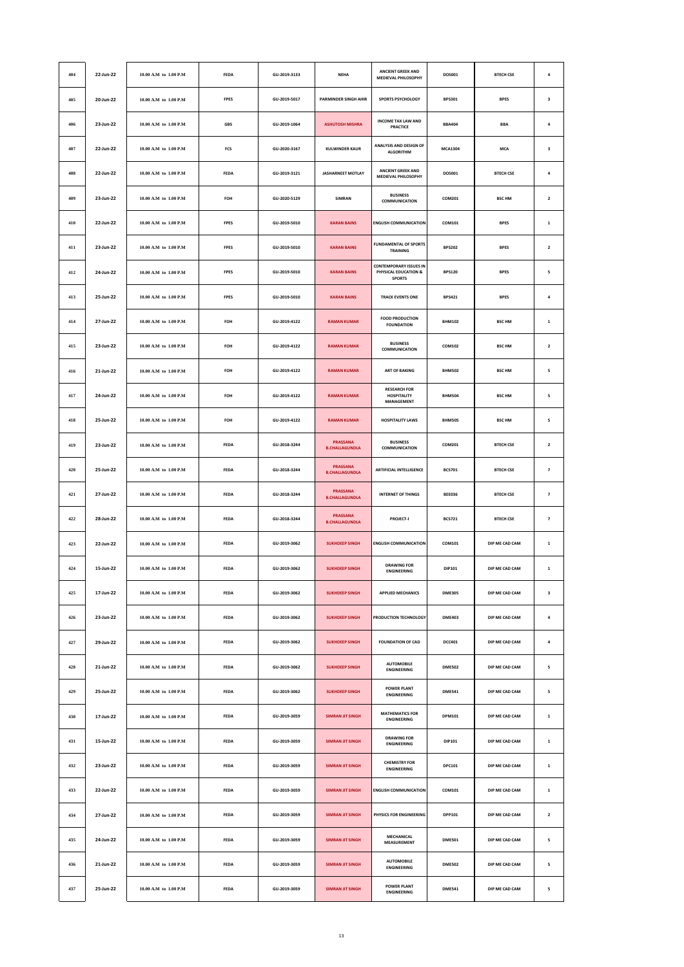| 404 | 22-Jun-22 | 10.00 A.M to 1.00 P.M | FEDA        | GU-2019-3133 | <b>NEHA</b>                              | <b>ANCIENT GREEK AND</b><br><b>MEDIEVAL PHILOSOPHY</b>          | DOS001         | <b>BTECH CSE</b> | $\pmb{4}$               |
|-----|-----------|-----------------------|-------------|--------------|------------------------------------------|-----------------------------------------------------------------|----------------|------------------|-------------------------|
| 405 | 20-Jun-22 | 10.00 A.M to 1.00 P.M | FPES        | GU-2019-5017 | PARMINDER SINGH AHIR                     | SPORTS PSYCHOLOGY                                               | <b>BPS301</b>  | <b>BPES</b>      | 3                       |
| 406 | 23-Jun-22 | 10.00 A.M to 1.00 P.M | <b>GBS</b>  | GU-2019-1064 | <b>ASHUTOSH MISHRA</b>                   | <b>INCOME TAX LAW AND</b><br>PRACTICE                           | <b>BBA404</b>  | <b>BBA</b>       | $\pmb{4}$               |
| 407 | 22-Jun-22 | 10.00 A.M to 1.00 P.M | FCS         | GU-2020-3167 | <b>KULWINDER KAUR</b>                    | ANALYSIS AND DESIGN OF<br><b>ALGORITHM</b>                      | <b>MCA1304</b> | <b>MCA</b>       | 3                       |
| 408 | 22-Jun-22 | 10.00 A.M to 1.00 P.M | FEDA        | GU-2019-3121 | <b>JASHARNEET MOTLAY</b>                 | ANCIENT GREEK AND<br><b>MEDIEVAL PHILOSOPHY</b>                 | DOS001         | <b>BTECH CSE</b> | $\pmb{4}$               |
| 409 | 23-Jun-22 | 10.00 A.M to 1.00 P.M | FOH         | GU-2020-5129 | <b>SIMRAN</b>                            | <b>BUSINESS</b><br>COMMUNICATION                                | COM201         | <b>BSC HM</b>    | $\mathbf{2}$            |
| 410 | 22-Jun-22 | 10.00 A.M to 1.00 P.M | <b>FPES</b> | GU-2019-5010 | <b>KARAN BAINS</b>                       | <b>ENGLISH COMMUNICATION</b>                                    | COM101         | <b>BPES</b>      | $\mathbf 1$             |
| 411 | 23-Jun-22 | 10.00 A.M to 1.00 P.M | <b>FPES</b> | GU-2019-5010 | <b>KARAN BAINS</b>                       | <b>FUNDAMENTAL OF SPORTS</b><br>TRAINING                        | <b>BPS202</b>  | <b>BPES</b>      | $\mathbf 2$             |
| 412 | 24-Jun-22 | 10.00 A.M to 1.00 P.M | <b>FPES</b> | GU-2019-5010 | <b>KARAN BAINS</b>                       | CONTEMPORARY ISSUES IN<br>PHYSICAL EDUCATION &<br><b>SPORTS</b> | <b>BPS120</b>  | <b>BPES</b>      | 5                       |
| 413 | 25-Jun-22 | 10.00 A.M to 1.00 P.M | FPES        | GU-2019-5010 | <b>KARAN BAINS</b>                       | <b>TRACK EVENTS ONE</b>                                         | <b>BPS421</b>  | <b>BPES</b>      | $\pmb{4}$               |
| 414 | 27-Jun-22 | 10.00 A.M to 1.00 P.M | FOH         | GU-2019-4122 | <b>RAMAN KUMAR</b>                       | <b>FOOD PRODUCTION</b><br><b>FOUNDATION</b>                     | <b>BHM102</b>  | <b>BSC HM</b>    | $\mathbf 1$             |
| 415 | 23-Jun-22 | 10.00 A.M to 1.00 P.M | FOH         | GU-2019-4122 | <b>RAMAN KUMAR</b>                       | <b>BUSINESS</b><br>COMMUNICATION                                | COM102         | <b>BSC HM</b>    | $\mathbf{2}$            |
| 416 | 21-Jun-22 | 10.00 A.M to 1.00 P.M | FOH         | GU-2019-4122 | <b>RAMAN KUMAR</b>                       | <b>ART OF BAKING</b>                                            | <b>BHM502</b>  | <b>BSC HM</b>    | 5                       |
| 417 | 24-Jun-22 | 10.00 A.M to 1.00 P.M | FOH         | GU-2019-4122 | <b>RAMAN KUMAR</b>                       | <b>RESEARCH FOR</b><br><b>HOSPITALITY</b><br>MANAGEMENT         | <b>BHM504</b>  | <b>BSC HM</b>    | 5                       |
| 418 | 25-Jun-22 | 10.00 A.M to 1.00 P.M | FOH         | GU-2019-4122 | <b>RAMAN KUMAR</b>                       | <b>HOSPITALITY LAWS</b>                                         | <b>BHM505</b>  | <b>BSC HM</b>    | 5                       |
| 419 | 23-Jun-22 | 10.00 A.M to 1.00 P.M | <b>FEDA</b> | GU-2018-3244 | <b>PRASSANA</b><br><b>B.CHALLAGUNDLA</b> | <b>BUSINESS</b><br>COMMUNICATION                                | COM201         | <b>BTECH CSE</b> | $\overline{\mathbf{2}}$ |
| 420 | 25-Jun-22 | 10.00 A.M to 1.00 P.M | FEDA        | GU-2018-3244 | <b>PRASSANA</b><br><b>B.CHALLAGUNDLA</b> | <b>ARTIFICIAL INTELLIGENCE</b>                                  | <b>BCS701</b>  | <b>BTECH CSE</b> | $\overline{\textbf{7}}$ |
| 421 | 27-Jun-22 | 10.00 A.M to 1.00 P.M | <b>FEDA</b> | GU-2018-3244 | <b>PRASSANA</b><br><b>B.CHALLAGUNDLA</b> | <b>INTERNET OF THINGS</b>                                       | <b>BEE036</b>  | <b>BTECH CSE</b> | $\overline{\textbf{z}}$ |
| 422 | 28-Jun-22 | 10.00 A.M to 1.00 P.M | <b>FEDA</b> | GU-2018-3244 | <b>PRASSANA</b><br><b>B.CHALLAGUNDLA</b> | <b>PROJECT-I</b>                                                | <b>BCS721</b>  | <b>BTECH CSE</b> | $\overline{\textbf{z}}$ |
| 423 | 22-Jun-22 | 10.00 A.M to 1.00 P.M | FEDA        | GU-2019-3062 | <b>SUKHDEEP SINGH</b>                    | <b>ENGLISH COMMUNICATION</b>                                    | COM101         | DIP ME CAD CAM   | $\mathbf 1$             |
| 424 | 15-Jun-22 | 10.00 A.M to 1.00 P.M | <b>FEDA</b> | GU-2019-3062 | <b>SUKHDEEP SINGH</b>                    | <b>DRAWING FOR</b><br><b>ENGINEERING</b>                        | DIP101         | DIP ME CAD CAM   | $\mathbf{1}$            |
| 425 | 17-Jun-22 | 10.00 A.M to 1.00 P.M | <b>FEDA</b> | GU-2019-3062 | <b>SUKHDEEP SINGH</b>                    | <b>APPLIED MECHANICS</b>                                        | <b>DME305</b>  | DIP ME CAD CAM   | 3                       |
| 426 | 23-Jun-22 | 10.00 A.M to 1.00 P.M | FEDA        | GU-2019-3062 | <b>SUKHDEEP SINGH</b>                    | PRODUCTION TECHNOLOGY                                           | <b>DME403</b>  | DIP ME CAD CAM   | $\pmb{4}$               |
| 427 | 29-Jun-22 | 10.00 A.M to 1.00 P.M | <b>FEDA</b> | GU-2019-3062 | <b>SUKHDEEP SINGH</b>                    | <b>FOUNDATION OF CAD</b>                                        | <b>DCC401</b>  | DIP ME CAD CAM   | $\pmb{4}$               |
| 428 | 21-Jun-22 | 10.00 A.M to 1.00 P.M | <b>FEDA</b> | GU-2019-3062 | <b>SUKHDEEP SINGH</b>                    | <b>AUTOMOBILE</b><br><b>ENGINEERING</b>                         | <b>DME502</b>  | DIP ME CAD CAM   | 5                       |
| 429 | 25-Jun-22 | 10.00 A.M to 1.00 P.M | FEDA        | GU-2019-3062 | <b>SUKHDEEP SINGH</b>                    | <b>POWER PLANT</b><br><b>FNGINFFRING</b>                        | <b>DME541</b>  | DIP ME CAD CAM   | 5                       |
| 430 | 17-Jun-22 | 10.00 A.M to 1.00 P.M | <b>FEDA</b> | GU-2019-3059 | <b>SIMRAN JIT SINGH</b>                  | <b>MATHEMATICS FOR</b><br><b>ENGINEERING</b>                    | <b>DPM101</b>  | DIP ME CAD CAM   | $\mathbf 1$             |
| 431 | 15-Jun-22 | 10.00 A.M to 1.00 P.M | <b>FEDA</b> | GU-2019-3059 | <b>SIMRAN JIT SINGH</b>                  | <b>DRAWING FOR</b><br><b>ENGINEERING</b>                        | DIP101         | DIP ME CAD CAM   | $\mathbf 1$             |
| 432 | 23-Jun-22 | 10.00 A.M to 1.00 P.M | FEDA        | GU-2019-3059 | <b>SIMRAN JIT SINGH</b>                  | <b>CHEMISTRY FOR</b><br><b>ENGINEERING</b>                      | DPC101         | DIP ME CAD CAM   | $\mathbf 1$             |
| 433 | 22-Jun-22 | 10.00 A.M to 1.00 P.M | <b>FEDA</b> | GU-2019-3059 | <b>SIMRAN JIT SINGH</b>                  | <b>ENGLISH COMMUNICATION</b>                                    | COM101         | DIP ME CAD CAM   | $\mathbf 1$             |
| 434 | 27-Jun-22 | 10.00 A.M to 1.00 P.M | <b>FEDA</b> | GU-2019-3059 | <b>SIMRAN JIT SINGH</b>                  | PHYSICS FOR ENGINEERING                                         | <b>DPP101</b>  | DIP ME CAD CAM   | $\overline{\mathbf{2}}$ |
| 435 | 24-Jun-22 | 10.00 A.M to 1.00 P.M | FEDA        | GU-2019-3059 | <b>SIMRAN JIT SINGH</b>                  | MECHANICAL<br>MEASUREMENT                                       | <b>DME501</b>  | DIP ME CAD CAM   | 5                       |
| 436 | 21-Jun-22 | 10.00 A.M to 1.00 P.M | <b>FEDA</b> | GU-2019-3059 | <b>SIMRAN JIT SINGH</b>                  | <b>AUTOMOBILE</b><br><b>ENGINEERING</b>                         | <b>DME502</b>  | DIP ME CAD CAM   | 5                       |
| 437 | 25-Jun-22 | 10.00 A.M to 1.00 P.M | <b>FEDA</b> | GU-2019-3059 | <b>SIMRAN JIT SINGH</b>                  | <b>POWER PLANT</b><br><b>ENGINEERING</b>                        | <b>DME541</b>  | DIP ME CAD CAM   | 5                       |